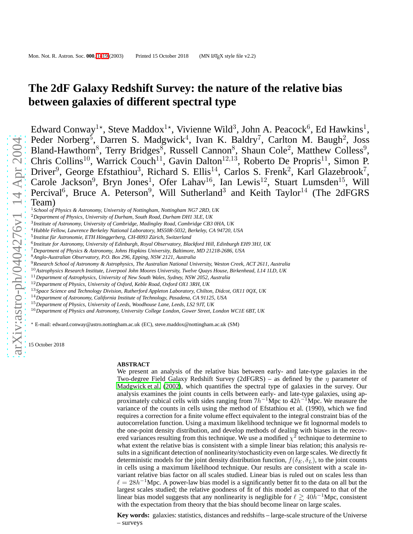# **The 2dF Galaxy Redshift Survey: the nature of the relative bias between galaxies of different spectral type**

Edward Conway<sup>1\*</sup>, Steve Maddox<sup>1\*</sup>, Vivienne Wild<sup>3</sup>, John A. Peacock<sup>6</sup>, Ed Hawkins<sup>1</sup>, Peder Norberg<sup>5</sup>, Darren S. Madgwick<sup>4</sup>, Ivan K. Baldry<sup>7</sup>, Carlton M. Baugh<sup>2</sup>, Joss Bland-Hawthorn<sup>8</sup>, Terry Bridges<sup>8</sup>, Russell Cannon<sup>8</sup>, Shaun Cole<sup>2</sup>, Matthew Colless<sup>9</sup>, Chris Collins<sup>10</sup>, Warrick Couch<sup>11</sup>, Gavin Dalton<sup>12,13</sup>, Roberto De Propris<sup>11</sup>, Simon P. Driver<sup>9</sup>, George Efstathiou<sup>3</sup>, Richard S. Ellis<sup>14</sup>, Carlos S. Frenk<sup>2</sup>, Karl Glazebrook<sup>7</sup>, Carole Jackson<sup>9</sup>, Bryn Jones<sup>1</sup>, Ofer Lahav<sup>16</sup>, Ian Lewis<sup>12</sup>, Stuart Lumsden<sup>15</sup>, Will Percival<sup>6</sup>, Bruce A. Peterson<sup>9</sup>, Will Sutherland<sup>3</sup> and Keith Taylor<sup>14</sup> (The 2dFGRS Team) <sup>1</sup>*School of Physics & Astronomy, University of Nottingham, Nottingham NG7 2RD, UK*

- <sup>2</sup>*Department of Physics, University of Durham, South Road, Durham DH1 3LE, UK*
- 3 *Institute of Astronomy, University of Cambridge, Madingley Road, Cambridge CB3 0HA, UK*
- <sup>4</sup>*Hubble Fellow, Lawrence Berkeley National Laboratory, MS50R-5032, Berkeley, CA 94720, USA*
- <sup>5</sup> Institut für Astronomie, ETH Hönggerberg, CH-8093 Zürich, Switzerland
- 6 *Institute for Astronomy, University of Edinburgh, Royal Observatory, Blackford Hill, Edinburgh EH9 3HJ, UK*
- <sup>7</sup>*Department of Physics & Astronomy, Johns Hopkins University, Baltimore, MD 21218-2686, USA*
- <sup>8</sup>*Anglo-Australian Observatory, P.O. Box 296, Epping, NSW 2121, Australia*
- <sup>9</sup>*Research School of Astronomy & Astrophysics, The Australian National University, Weston Creek, ACT 2611, Australia*
- <sup>10</sup>*Astrophysics Research Institute, Liverpool John Moores University, Twelve Quays House, Birkenhead, L14 1LD, UK*
- <sup>11</sup>*Department of Astrophysics, University of New South Wales, Sydney, NSW 2052, Australia*
- <sup>12</sup>*Department of Physics, University of Oxford, Keble Road, Oxford OX1 3RH, UK*
- <sup>13</sup>*Space Science and Technology Division, Rutherford Appleton Laboratory, Chilton, Didcot, OX11 0QX, UK*
- <sup>14</sup>*Department of Astronomy, California Institute of Technology, Pasadena, CA 91125, USA*
- <sup>15</sup>*Department of Physics, University of Leeds, Woodhouse Lane, Leeds, LS2 9JT, UK*
- <sup>16</sup>*Department of Physics and Astronomy, University College London, Gower Street, London WC1E 6BT, UK*

<sup>⋆</sup> E-mail: edward.conway@astro.nottingham.ac.uk (EC), steve.maddox@nottingham.ac.uk (SM)

15 October 2018

## **ABSTRACT**

We present an analysis of the relative bias between early- and late-type galaxies in the Two-degree Field Galaxy Redshift Survey (2dFGRS) – as defined by the  $\eta$  parameter of [Madgwick et al.](#page-18-0) [\(2002\)](#page-18-0), which quantifies the spectral type of galaxies in the survey. Our analysis examines the joint counts in cells between early- and late-type galaxies, using approximately cubical cells with sides ranging from  $7h^{-1}$ Mpc to  $42h^{-1}$ Mpc. We measure the variance of the counts in cells using the method of Efstathiou et al. (1990), which we find requires a correction for a finite volume effect equivalent to the integral constraint bias of the autocorrelation function. Using a maximum likelihood technique we fit lognormal models to the one-point density distribution, and develop methods of dealing with biases in the recovered variances resulting from this technique. We use a modified  $\chi^2$  technique to determine to what extent the relative bias is consistent with a simple linear bias relation; this analysis results in a significant detection of nonlinearity/stochasticity even on large scales. We directly fit deterministic models for the joint density distribution function,  $f(\delta_E, \delta_L)$ , to the joint counts in cells using a maximum likelihood technique. Our results are consistent with a scale invariant relative bias factor on all scales studied. Linear bias is ruled out on scales less than  $\ell = 28h^{-1}$ Mpc. A power-law bias model is a significantly better fit to the data on all but the largest scales studied; the relative goodness of fit of this model as compared to that of the linear bias model suggests that any nonlinearity is negligible for  $\ell \ge 40h^{-1}$ Mpc, consistent with the expectation from theory that the bias should become linear on large scales.

**Key words:** galaxies: statistics, distances and redshifts – large-scale structure of the Universe – surveys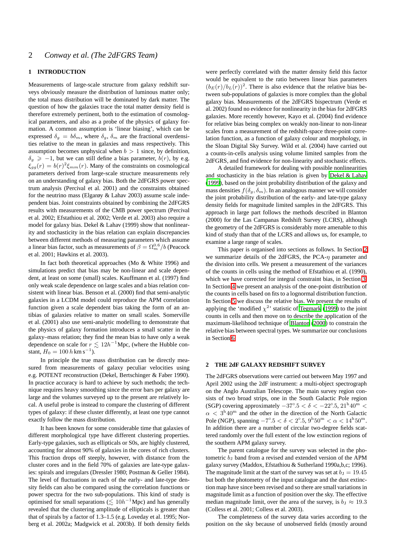## **1 INTRODUCTION**

Measurements of large-scale structure from galaxy redshift surveys obviously measure the distribution of luminous matter only; the total mass distribution will be dominated by dark matter. The question of how the galaxies trace the total matter density field is therefore extremely pertinent, both to the estimation of cosmological parameters, and also as a probe of the physics of galaxy formation. A common assumption is 'linear biasing', which can be expressed  $\delta_g = b\delta_m$ , where  $\delta_g$ ,  $\delta_m$  are the fractional overdensities relative to the mean in galaxies and mass respectively. This assumption becomes unphysical when  $b > 1$  since, by definition,  $\delta_g \ge -1$ , but we can still define a bias parameter,  $b(r)$ , by e.g.  $\xi_{gg}(r) = b(r)^2 \xi_{mm}(r)$ . Many of the constraints on cosmological parameters derived from large-scale structure measurements rely on an understanding of galaxy bias. Both the 2dFGRS power spectrum analysis (Percival et al. 2001) and the constraints obtained for the neutrino mass (Elgarøy & Lahav 2003) assume scale independent bias. Joint constraints obtained by combining the 2dFGRS results with measurements of the CMB power spectrum (Percival et al. 2002; Efstathiou et al. 2002; Verde et al. 2003) also require a model for galaxy bias. Dekel & Lahav (1999) show that nonlinearity and stochasticity in the bias relation can explain discrepancies between different methods of measuring parameters which assume a linear bias factor, such as measurements of  $\beta = \Omega_m^{0.6}/b$  (Peacock et al. 2001; Hawkins et al. 2003).

In fact both theoretical approaches (Mo & White 1996) and simulations predict that bias may be non-linear and scale dependent, at least on some (small) scales. Kauffmann et al. (1997) find only weak scale dependence on large scales and a bias relation consistent with linear bias. Benson et al. (2000) find that semi-analytic galaxies in a LCDM model could reproduce the APM correlation function given a scale dependent bias taking the form of an antibias of galaxies relative to matter on small scales. Somerville et al. (2001) also use semi-analytic modelling to demonstrate that the physics of galaxy formation introduces a small scatter in the galaxy–mass relation; they find the mean bias to have only a weak dependence on scale for  $r \lesssim 12h^{-1}$ Mpc, (where the Hubble constant,  $H_0 = 100 h \text{ km s}^{-1}$ ).

In principle the true mass distribution can be directly measured from measurements of galaxy peculiar velocities using e.g. POTENT reconstruction (Dekel, Bertschinger & Faber 1990). In practice accuracy is hard to achieve by such methods; the technique requires heavy smoothing since the error bars per galaxy are large and the volumes surveyed up to the present are relatively local. A useful probe is instead to compare the clustering of different types of galaxy: if these cluster differently, at least one type cannot exactly follow the mass distribution.

It has been known for some considerable time that galaxies of different morphological type have different clustering properties. Early-type galaxies, such as ellipticals or S0s, are highly clustered, accounting for almost 90% of galaxies in the cores of rich clusters. This fraction drops off steeply, however, with distance from the cluster cores and in the field 70% of galaxies are late-type galaxies: spirals and irregulars (Dressler 1980; Postman & Geller 1984). The level of fluctuations in each of the early- and late-type density fields can also be compared using the correlation functions or power spectra for the two sub-populations. This kind of study is optimised for small separations  $(\lesssim 10h^{-1}$ Mpc) and has generally revealed that the clustering amplitude of ellipticals is greater than that of spirals by a factor of 1.3–1.5 (e.g. Loveday et al. 1995; Norberg et al. 2002a; Madgwick et al. 2003b). If both density fields were perfectly correlated with the matter density field this factor would be equivalent to the ratio between linear bias parameters  $(b_E(r)/b_L(r))^2$ . There is also evidence that the relative bias between sub-populations of galaxies is more complex than the global galaxy bias. Measurements of the 2dFGRS bispectrum (Verde et al. 2002) found no evidence for nonlinearity in the bias for 2dFGRS galaxies. More recently however, Kayo et al. (2004) find evidence for relative bias being complex on weakly non-linear to non-linear scales from a measurement of the redshift-space three-point correlation function, as a function of galaxy colour and morphology, in the Sloan Digital Sky Survey. Wild et al. (2004) have carried out a counts-in-cells analysis using volume limited samples from the 2dFGRS, and find evidence for non-linearity and stochastic effects.

A detailed framework for dealing with possible nonlinearities and stochasticity in the bias relation is given by [Dekel & Lahav](#page-18-1) [\(1999](#page-18-1)), based on the joint probability distribution of the galaxy and mass densities  $f(\delta_g, \delta_m)$ . In an analogous manner we will consider the joint probability distribution of the early- and late-type galaxy density fields for magnitude limited samples in the 2dFGRS. This approach in large part follows the methods described in Blanton (2000) for the Las Campanas Redshift Survey (LCRS), although the geometry of the 2dFGRS is considerably more amenable to this kind of study than that of the LCRS and allows us, for example, to examine a large range of scales.

This paper is organised into sections as follows. In Section [2](#page-1-0) we summarize details of the 2dFGRS, the PCA- $\eta$  parameter and the division into cells. We present a measurement of the variances of the counts in cells using the method of Efstathiou et al. (1990), which we have corrected for integral constraint bias, in Section [3.](#page-4-0) In Section [4](#page-6-0) we present an analysis of the one-point distribution of the counts in cells based on fits to a lognormal distribution function. In Section [5](#page-11-0) we discuss the relative bias. We present the results of applying the 'modified  $\chi^2$ ' statistic of [Tegmark](#page-18-2) [\(1999](#page-18-2)) to the joint counts in cells and then move on to describe the application of the maximum-likelihood technique of [Blanton \(2000\)](#page-17-1) to constrain the relative bias between spectral types. We summarize our conclusions in Section [6.](#page-15-0)

## <span id="page-1-0"></span>**2 THE 2dF GALAXY REDSHIFT SURVEY**

The 2dFGRS observations were carried out between May 1997 and April 2002 using the 2dF instrument: a multi-object spectrograph on the Anglo Australian Telescope. The main survey region consists of two broad strips, one in the South Galactic Pole region (SGP) covering approximately  $-37^{\circ}.5 < \delta < -22^{\circ}.5, 21^{\mathrm{h}}40^{\mathrm{m}} <$  $\alpha < 3^{\rm h}40^{\rm m}$  and the other in the direction of the North Galactic Pole (NGP), spanning  $-7^{\circ} \cdot 5 < \delta < 2^{\circ} \cdot 5$ ,  $9^{\rm h} 50^{\rm m} < \alpha < 14^{\rm h} 50^{\rm m}$ . In addition there are a number of circular two-degree fields scattered randomly over the full extent of the low extinction regions of the southern APM galaxy survey.

The parent catalogue for the survey was selected in the photometric  $b<sub>J</sub>$  band from a revised and extended version of the APM galaxy survey (Maddox, Efstathiou & Sutherland 1990a,b,c; 1996). The magnitude limit at the start of the survey was set at  $b<sub>J</sub> = 19.45$ but both the photometry of the input catalogue and the dust extinction map have since been revised and so there are small variations in magnitude limit as a function of position over the sky. The effective median magnitude limit, over the area of the survey, is  $b<sub>J</sub> \approx 19.3$ (Colless et al. 2001; Colless et al. 2003).

The completeness of the survey data varies according to the position on the sky because of unobserved fields (mostly around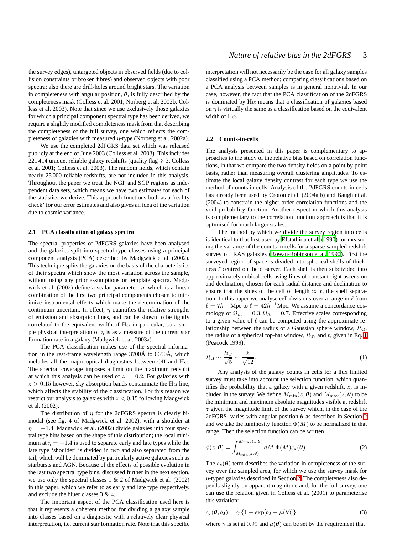the survey edges), untargeted objects in observed fields (due to collision constraints or broken fibres) and observed objects with poor spectra; also there are drill-holes around bright stars. The variation in completeness with angular position,  $\theta$ , is fully described by the completeness mask (Colless et al. 2001; Norberg et al. 2002b; Colless et al. 2003). Note that since we use exclusively those galaxies for which a principal component spectral type has been derived, we require a slightly modified completeness mask from that describing the completeness of the full survey, one which reflects the completeness of galaxies with measured  $\eta$ -type (Norberg et al. 2002a).

We use the completed 2dFGRS data set which was released publicly at the end of June 2003 (Colless et al. 2003). This includes 221 414 unique, reliable galaxy redshifts (quality flag  $\geq 3$ , Colless et al. 2001; Colless et al. 2003). The random fields, which contain nearly 25 000 reliable redshifts, are not included in this analysis. Throughout the paper we treat the NGP and SGP regions as independent data sets, which means we have two estimates for each of the statistics we derive. This approach functions both as a 'reality check' for our error estimates and also gives an idea of the variation due to cosmic variance.

## **2.1 PCA classification of galaxy spectra**

The spectral properties of 2dFGRS galaxies have been analysed and the galaxies split into spectral type classes using a principal component analysis (PCA) described by Madgwick et al. (2002). This technique splits the galaxies on the basis of the characteristics of their spectra which show the most variation across the sample, without using any prior assumptions or template spectra. Madgwick et al. (2002) define a scalar parameter,  $\eta$ , which is a linear combination of the first two principal components chosen to minimize instrumental effects which make the determination of the continuum uncertain. In effect,  $\eta$  quantifies the relative strengths of emission and absorption lines, and can be shown to be tightly correlated to the equivalent width of  $H\alpha$  in particular, so a simple physical interpretation of  $\eta$  is as a measure of the current star formation rate in a galaxy (Madgwick et al. 2003a).

The PCA classification makes use of the spectral information in the rest-frame wavelength range  $3700\text{\AA}$  to  $6650\text{\AA}$ , which includes all the major optical diagnostics between OII and  $H\alpha$ . The spectral coverage imposes a limit on the maximum redshift at which this analysis can be used of  $z = 0.2$ . For galaxies with  $z > 0.15$  however, sky absorption bands contaminate the H $\alpha$  line, which affects the stability of the classification. For this reason we restrict our analysis to galaxies with  $z < 0.15$  following Madgwick et al. (2002).

The distribution of  $\eta$  for the 2dFGRS spectra is clearly bimodal (see fig. 4 of Madgwick et al. 2002), with a shoulder at  $\eta = -1.4$ . Madgwick et al. (2002) divide galaxies into four spectral type bins based on the shape of this distribution; the local minimum at  $\eta = -1.4$  is used to separate early and late types while the late type 'shoulder' is divided in two and also separated from the tail, which will be dominated by particularly active galaxies such as starbursts and AGN. Because of the effects of possible evolution in the last two spectral type bins, discussed further in the next section, we use only the spectral classes 1 & 2 of Madgwick et al. (2002) in this paper, which we refer to as early and late type respectively, and exclude the bluer classes 3 & 4.

The important aspect of the PCA classification used here is that it represents a coherent method for dividing a galaxy sample into classes based on a diagnostic with a relatively clear physical interpretation, i.e. current star formation rate. Note that this specific interpretation will not necessarily be the case for all galaxy samples classified using a PCA method; comparing classifications based on a PCA analysis between samples is in general nontrivial. In our case, however, the fact that the PCA classification of the 2dFGRS is dominated by  $H\alpha$  means that a classification of galaxies based on  $\eta$  is virtually the same as a classification based on the equivalent width of  $H\alpha$ .

## <span id="page-2-1"></span>**2.2 Counts-in-cells**

The analysis presented in this paper is complementary to approaches to the study of the relative bias based on correlation functions, in that we compare the two density fields on a point by point basis, rather than measuring overall clustering amplitudes. To estimate the local galaxy density contrast for each type we use the method of counts in cells. Analysis of the 2dFGRS counts in cells has already been used by Croton et al. (2004a,b) and Baugh et al. (2004) to constrain the higher-order correlation functions and the void probability function. Another respect in which this analysis is complementary to the correlation function approach is that it is optimised for much larger scales.

The method by which we divide the survey region into cells is identical to that first used by [Efstathiou et al.](#page-18-3) [\(1990](#page-18-3)) for measuring the variance of the counts in cells for a sparse-sampled redshift survey of IRAS galaxies [\(Rowan-Robinson et al. 1990](#page-18-4)). First the surveyed region of space is divided into spherical shells of thickness  $\ell$  centred on the observer. Each shell is then subdivided into approximately cubical cells using lines of constant right ascension and declination, chosen for each radial distance and declination to ensure that the sides of the cell of length  $\approx \ell$ , the shell separation. In this paper we analyse cell divisions over a range in  $\ell$  from  $\ell = 7h^{-1}$ Mpc to  $\ell = 42h^{-1}$ Mpc. We assume a concordance cosmology of  $\Omega_m = 0.3, \Omega_\Lambda = 0.7$ . Effective scales corresponding to a given value of  $\ell$  can be computed using the approximate relationship between the radius of a Gaussian sphere window,  $R<sub>G</sub>$ , the radius of a spherical top-hat window,  $R_T$ , and  $\ell$ , given in Eq. [1](#page-2-0) (Peacock 1999).

<span id="page-2-0"></span>
$$
R_{\rm G} \sim \frac{R_{\rm T}}{\sqrt{5}} \sim \frac{\ell}{\sqrt{12}}.\tag{1}
$$

Any analysis of the galaxy counts in cells for a flux limited survey must take into account the selection function, which quantifies the probability that a galaxy with a given redshift,  $z$ , is included in the survey. We define  $M_{\text{min}}(z, \theta)$  and  $M_{\text{max}}(z, \theta)$  to be the minimum and maximum absolute magnitudes visible at redshift  $z$  given the magnitude limit of the survey which, in the case of the 2dFGRS, varies with angular position  $\theta$  as described in Section [2](#page-1-0) and we take the luminosity function  $\Phi(M)$  to be normalized in that range. Then the selection function can be written

$$
\phi(z,\boldsymbol{\theta}) = \int_{M_{\min}(z,\boldsymbol{\theta})}^{M_{\max}(z,\boldsymbol{\theta})} dM \, \Phi(M)c_z(\boldsymbol{\theta}).
$$
\n(2)

The  $c_z(\theta)$  term describes the variation in completeness of the survey over the sampled area, for which we use the survey mask for η-typed galaxies described in Section [2.](#page-1-0) The completeness also depends slightly on apparent magnitude and, for the full survey, one can use the relation given in Colless et al. (2001) to parameterise this variation:

$$
c_z(\boldsymbol{\theta}, b_{\mathrm{J}}) = \gamma \left\{ 1 - \exp[b_{\mathrm{J}} - \mu(\boldsymbol{\theta})] \right\},\tag{3}
$$

where  $\gamma$  is set at 0.99 and  $\mu(\theta)$  can be set by the requirement that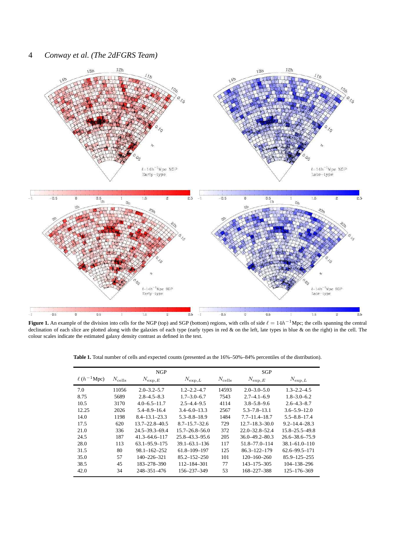# 4 *Conway et al. (The 2dFGRS Team)*



<span id="page-3-0"></span>**Figure 1.** An example of the division into cells for the NGP (top) and SGP (bottom) regions, with cells of side  $\ell = 14h^{-1}$ Mpc; the cells spanning the central declination of each slice are plotted along with the galaxies of each type (early types in red & on the left, late types in blue & on the right) in the cell. The colour scales indicate the estimated galaxy density contrast as defined in the text.

<span id="page-3-1"></span>

| Table 1. Total number of cells and expected counts (presented as the 16%-50%-84% percentiles of the distribution). |  |  |
|--------------------------------------------------------------------------------------------------------------------|--|--|
|                                                                                                                    |  |  |

|                   |                 | <b>NGP</b>           |                      |                 | SGP                  |                      |
|-------------------|-----------------|----------------------|----------------------|-----------------|----------------------|----------------------|
| $\ell(h^{-1}Mpc)$ | $N_{\rm cells}$ | $N_{\exp,E}$         | $N_{\exp,L}$         | $N_{\rm cells}$ | $N_{\exp,E}$         | $N_{\exp,L}$         |
| 7.0               | 11056           | $2.0 - 3.2 - 5.7$    | $1.2 - 2.2 - 4.7$    | 14593           | $2.0 - 3.0 - 5.0$    | $1.3 - 2.2 - 4.5$    |
| 8.75              | 5689            | $2.8 - 4.5 - 8.3$    | $1.7 - 3.0 - 6.7$    | 7543            | $2.7 - 4.1 - 6.9$    | $1.8 - 3.0 - 6.2$    |
| 10.5              | 3170            | $4.0 - 6.5 - 11.7$   | $2.5 - 4.4 - 9.5$    | 4114            | $3.8 - 5.8 - 9.6$    | $2.6 - 4.3 - 8.7$    |
| 12.25             | 2026            | $5.4 - 8.9 - 16.4$   | $3.4 - 6.0 - 13.3$   | 2567            | $5.3 - 7.8 - 13.1$   | $3.6 - 5.9 - 12.0$   |
| 14.0              | 1198            | $8.4 - 13.1 - 23.3$  | $5.3 - 8.8 - 18.9$   | 1484            | $7.7 - 11.4 - 18.7$  | $5.5 - 8.8 - 17.4$   |
| 17.5              | 620             | $13.7 - 22.8 - 40.5$ | $8.7 - 15.7 - 32.6$  | 729             | $12.7 - 18.3 - 30.0$ | $9.2 - 14.4 - 28.3$  |
| 21.0              | 336             | $24.5 - 39.3 - 69.4$ | $15.7 - 26.8 - 56.0$ | 372             | $22.0 - 32.8 - 52.4$ | $15.8 - 25.5 - 49.8$ |
| 24.5              | 187             | $41.3 - 64.6 - 117$  | 25.8-43.3-95.6       | 205             | $36.0 - 49.2 - 80.3$ | $26.6 - 38.6 - 75.9$ |
| 28.0              | 113             | $63.1 - 95.9 - 175$  | $39.1 - 63.1 - 136$  | 117             | 51.8-77.0-114        | $38.1 - 61.0 - 110$  |
| 31.5              | 80              | $98.1 - 162 - 252$   | $61.8 - 109 - 197$   | 125             | 86.3-122-179         | $62.6 - 99.5 - 171$  |
| 35.0              | 57              | 140-226-321          | $85.2 - 152 - 250$   | 101             | $120 - 160 - 260$    | $85.9 - 125 - 255$   |
| 38.5              | 45              | 183-278-390          | 112-184-301          | 77              | 143-175-305          | 104-138-296          |
| 42.0              | 34              | 248-351-476          | 156-237-349          | 53              | 168-227-388          | $125 - 176 - 369$    |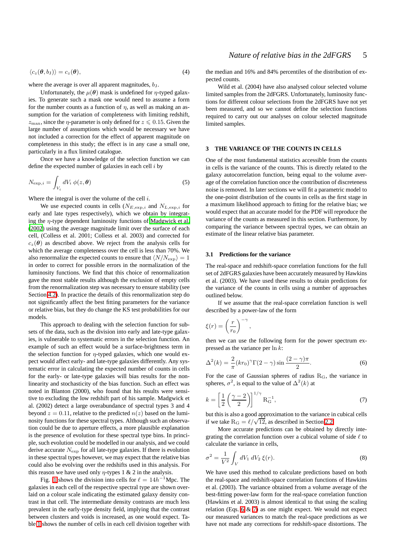$$
\langle c_z(\boldsymbol{\theta},b_{\rm J})\rangle=c_z(\boldsymbol{\theta}),\qquad \qquad (4)
$$

where the average is over all apparent magnitudes,  $b_J$ .

Unfortunately, the  $\mu(\theta)$  mask is undefined for  $\eta$ -typed galaxies. To generate such a mask one would need to assume a form for the number counts as a function of  $\eta$ , as well as making an assumption for the variation of completeness with limiting redshift,  $z_{\text{max}}$ , since the  $\eta$ -parameter is only defined for  $z \leq 0.15$ . Given the large number of assumptions which would be necessary we have not included a correction for the effect of apparent magnitude on completeness in this study; the effect is in any case a small one, particularly in a flux limited catalogue.

Once we have a knowledge of the selection function we can define the expected number of galaxies in each cell  $i$  by

$$
N_{\exp,i} = \int_{V_i} dV_i \, \phi(z, \theta) \tag{5}
$$

Where the integral is over the volume of the cell  $i$ .

We use expected counts in cells  $(N_{E, \exp,i}$  and  $N_{L, \exp,i}$  for early and late types respectively), which we obtain by integrating the  $\eta$ -type dependent luminosity functions of [Madgwick et al.](#page-18-0) [\(2002](#page-18-0)) using the average magnitude limit over the surface of each cell, (Colless et al. 2001; Colless et al. 2003) and corrected for  $c_z(\theta)$  as described above. We reject from the analysis cells for which the average completeness over the cell is less than 70%. We also renormalize the expected counts to ensure that  $\langle N/N_{\rm exp} \rangle = 1$ in order to correct for possible errors in the normalization of the luminosity functions. We find that this choice of renormalization gave the most stable results although the exclusion of empty cells from the renormalization step was necessary to ensure stability (see Section [4.2\)](#page-9-0). In practice the details of this renormalization step do not significantly affect the best fitting parameters for the variance or relative bias, but they do change the KS test probabilities for our models.

This approach to dealing with the selection function for subsets of the data, such as the division into early and late-type galaxies, is vulnerable to systematic errors in the selection function. An example of such an effect would be a surface-brightness term in the selection function for  $\eta$ -typed galaxies, which one would expect would affect early- and late-type galaxies differently. Any systematic error in calculating the expected number of counts in cells for the early- or late-type galaxies will bias results for the nonlinearity and stochasticity of the bias function. Such an effect was noted in Blanton (2000), who found that his results were sensitive to excluding the low redshift part of his sample. Madgwick et al. (2002) detect a large overabundance of spectral types 3 and 4 beyond  $z = 0.11$ , relative to the predicted  $n(z)$  based on the luminosity functions for these spectral types. Although such an observation could be due to aperture effects, a more plausible explanation is the presence of evolution for these spectral type bins. In principle, such evolution could be modelled in our analysis, and we could derive accurate  $N_{\rm exp}$  for all late-type galaxies. If there is evolution in these spectral types however, we may expect that the relative bias could also be evolving over the redshifts used in this analysis. For this reason we have used only  $\eta$ -types 1 & 2 in the analysis.

Fig. [1](#page-3-0) shows the division into cells for  $\ell = 14h^{-1}$  Mpc. The galaxies in each cell of the respective spectral type are shown overlaid on a colour scale indicating the estimated galaxy density contrast in that cell. The intermediate density contrasts are much less prevalent in the early-type density field, implying that the contrast between clusters and voids is increased, as one would expect. Table [1](#page-3-1) shows the number of cells in each cell division together with the median and 16% and 84% percentiles of the distribution of expected counts.

Wild et al. (2004) have also analysed colour selected volume limited samples from the 2dFGRS. Unfortunately, luminosity functions for different colour selections from the 2dFGRS have not yet been measured, and so we cannot define the selection functions required to carry out our analyses on colour selected magnitude limited samples.

## <span id="page-4-0"></span>**3 THE VARIANCE OF THE COUNTS IN CELLS**

One of the most fundamental statistics accessible from the counts in cells is the variance of the counts. This is directly related to the galaxy autocorrelation function, being equal to the volume average of the correlation function once the contribution of discreteness noise is removed. In later sections we will fit a parametric model to the one-point distribution of the counts in cells as the first stage in a maximum likelihood approach to fitting for the relative bias; we would expect that an accurate model for the PDF will reproduce the variance of the counts as measured in this section. Furthermore, by comparing the variance between spectral types, we can obtain an estimate of the linear relative bias parameter.

## <span id="page-4-3"></span>**3.1 Predictions for the variance**

The real-space and redshift-space correlation functions for the full set of 2dFGRS galaxies have been accurately measured by Hawkins et al. (2003). We have used these results to obtain predictions for the variance of the counts in cells using a number of approaches outlined below.

If we assume that the real-space correlation function is well described by a power-law of the form

$$
\xi(r) = \left(\frac{r}{r_0}\right)^{-\gamma},
$$

then we can use the following form for the power spectrum expressed as the variance per  $\ln k$ :

<span id="page-4-1"></span>
$$
\Delta^{2}(k) = \frac{2}{\pi} (kr_0)^{\gamma} \Gamma(2-\gamma) \sin \frac{(2-\gamma)\pi}{2}.
$$
 (6)

For the case of Gaussian spheres of radius  $R<sub>G</sub>$ , the variance in spheres,  $\sigma^2$ , is equal to the value of  $\Delta^2(k)$  at

<span id="page-4-2"></span>
$$
k = \left[\frac{1}{2}\left(\frac{\gamma - 2}{2}\right)\right]^{1/\gamma} R_{\mathcal{G}}^{-1},\tag{7}
$$

but this is also a good approximation to the variance in cubical cells if we take  $R_G = \ell/\sqrt{12}$ , as described in Section [2.2.](#page-2-1)

More accurate predictions can be obtained by directly integrating the correlation function over a cubical volume of side  $\ell$  to calculate the variance in cells,

$$
\sigma^2 = \frac{1}{V^2} \int_V dV_1 \, dV_2 \, \xi(r). \tag{8}
$$

We have used this method to calculate predictions based on both the real-space and redshift-space correlation functions of Hawkins et al. (2003). The variance obtained from a volume average of the best-fitting power-law form for the real-space correlation function (Hawkins et al. 2003) is almost identical to that using the scaling relation (Eqs. [6](#page-4-1) & [7\)](#page-4-2) as one might expect. We would not expect our measured variances to match the real-space predictions as we have not made any corrections for redshift-space distortions. The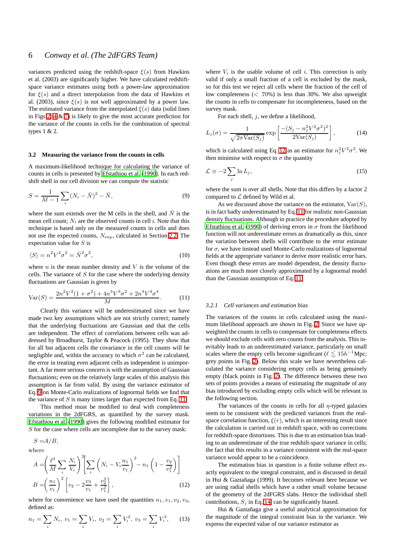variances predicted using the redshift-space  $\xi(s)$  from Hawkins et al. (2003) are significantly higher. We have calculated redshiftspace variance estimates using both a power-law approximation for  $\xi(s)$  and a direct interpolation from the data of Hawkins et al. (2003), since  $\xi(s)$  is not well approximated by a power law. The estimated variance from the interpolated  $\xi(s)$  data (solid lines in Figs [2,](#page-6-1) [4](#page-7-0) & [7\)](#page-10-0) is likely to give the most accurate prediction for the variance of the counts in cells for the combination of spectral types 1 & 2.

## **3.2 Measuring the variance from the counts in cells**

A maximum-likelihood technique for calculating the variance of counts in cells is presented by [Efstathiou et al. \(1990](#page-18-3)). In each redshift shell in our cell division we can compute the statistic

<span id="page-5-0"></span>
$$
S = \frac{1}{M-1} \sum_{i} (N_i - \bar{N})^2 - \bar{N},
$$
\n(9)

where the sum extends over the M cells in the shell, and  $\overline{N}$  is the mean cell count;  $N_i$  are the observed counts in cell i. Note that this technique is based only on the measured counts in cells and does not use the expected counts,  $N_{\text{exp}}$ , calculated in Section [2.2.](#page-2-1) The expectation value for  $S$  is

$$
\langle S \rangle = n^2 V^2 \sigma^2 = \bar{N}^2 \sigma^2,\tag{10}
$$

where  $n$  is the mean number density and  $V$  is the volume of the cells. The variance of  $S$  for the case where the underlying density fluctuations are Gaussian is given by

<span id="page-5-1"></span>
$$
Var(S) = \frac{2n^2V^2(1+\sigma^2) + 4n^3V^3\sigma^2 + 2n^4V^4\sigma^4}{M}.
$$
 (11)

Clearly this variance will be underestimated since we have made two key assumptions which are not strictly correct; namely that the underlying fluctuations are Gaussian and that the cells are independent. The effect of correlations between cells was addressed by Broadhurst, Taylor & Peacock (1995). They show that for all but adjacent cells the covariance in the cell counts will be negligible and, within the accuracy to which  $\sigma^2$  can be calculated, the error in treating even adjacent cells as independent is unimportant. A far more serious concern is with the assumption of Gaussian fluctuations; even on the relatively large scales of this analysis this assumption is far from valid. By using the variance estimator of Eq. [9](#page-5-0) on Monte-Carlo realizations of lognormal fields we find that the variance of  $S$  is many times larger than expected from Eq. [11.](#page-5-1)

This method must be modified to deal with completeness variations in the 2dFGRS, as quantified by the survey mask. [Efstathiou et al. \(1990](#page-18-3)) gives the following modified estimator for S for the case where cells are incomplete due to the survey mask:

$$
S = A/B,
$$

<span id="page-5-2"></span>where

$$
A = \left(\frac{\ell^3}{M} \sum_i \frac{N_i}{V_i}\right)^2 \left[\sum_i \left(N_i - V_i \frac{n_1}{v_1}\right)^2 - n_1 \left(1 - \frac{v_2}{v_1^2}\right)\right]
$$
  

$$
B = \left(\frac{n_1}{v_1}\right)^2 \left[v_2 - 2\frac{v_3}{v_1} + \frac{v_2^2}{v_1^2}\right],
$$
 (12)

where for convenience we have used the quantities  $n_1, v_1, v_2, v_3$ , defined as:

$$
n_1 = \sum_i N_i, \ v_1 = \sum_i V_i, \ v_2 = \sum_i V_i^2, \ v_3 = \sum_i V_i^3, \quad (13)
$$

where  $V_i$  is the usable volume of cell i. This correction is only valid if only a small fraction of a cell is excluded by the mask, so for this test we reject all cells where the fraction of the cell of low completeness  $(< 70\%)$  is less than 30%. We also upweight the counts in cells to compensate for incompleteness, based on the survey mask.

For each shell,  $j$ , we define a likelihood,

<span id="page-5-3"></span>
$$
L_j(\sigma) = \frac{1}{\sqrt{2\pi \text{Var}(S_j)}} \exp\left[\frac{-(S_j - n_j^2 V^2 \sigma^2)^2}{2\text{Var}(S_j)}\right],\tag{14}
$$

which is calculated using Eq. [12](#page-5-2) as an estimator for  $n_j^2 V^2 \sigma^2$ . We then minimise with respect to  $\sigma$  the quantity

<span id="page-5-4"></span>
$$
\mathcal{L} \equiv -2 \sum_{j} \ln L_{j},\tag{15}
$$

where the sum is over all shells. Note that this differs by a factor 2 compared to  $\mathcal L$  defined by Wild et al.

As we discussed above the variance on the estimator,  $Var(S)$ , is in fact badly underestimated by Eq. [11](#page-5-1) for realistic non-Gaussian density fluctuations. Although in practice the procedure adopted by [Efstathiou et al. \(1990](#page-18-3)) of deriving errors in  $\sigma$  from the likelihood function will not underestimate errors as dramatically as this, since the variation between shells will contribute to the error estimate for  $\sigma$ , we have instead used Monte-Carlo realizations of lognormal fields at the appropriate variance to derive more realistic error bars. Even though these errors are model dependent, the density fluctuations are much more closely approximated by a lognormal model than the Gaussian assumption of Eq. [11.](#page-5-1)

## *3.2.1 Cell variances and estimation bias*

The variances of the counts in cells calculated using the maximum likelihood approach are shown in Fig. [2.](#page-6-1) Since we have upweighted the counts in cells to compensate for completeness effects we should exclude cells with zero counts from the analysis. This inevitably leads to an underestimated variance, particularly on small scales where the empty cells become significant ( $\ell \lesssim 15h^{-1}$ Mpc; grey points in Fig. [2\)](#page-6-1). Below this scale we have nevertheless calculated the variance considering empty cells as being genuinely empty (black points in Fig. [2\)](#page-6-1). The difference between these two sets of points provides a means of estimating the magnitude of any bias introduced by excluding empty cells which will be relevant in the following section.

The variances of the counts in cells for all  $\eta$ -typed galaxies seem to be consistent with the predicted variances from the realspace correlation function,  $\xi(r)$ , which is an interesting result since the calculation is carried out in redshift space, with no corrections for redshift-space distortions. This is due to an estimation bias leading to an underestimate of the true redshift-space variance in cells; the fact that this results in a variance consistent with the real-space variance would appear to be a coincidence.

The estimation bias in question is a finite volume effect exactly equivalent to the integral constraint, and is discussed in detail in Hui & Gaztañaga (1999). It becomes relevant here because we are using radial shells which have a rather small volume because of the geometry of the 2dFGRS slabs. Hence the individual shell contributions,  $S_i$  in Eq. [14,](#page-5-3) can be significantly biased.

Hui & Gaztañaga give a useful analytical approximation for the magnitude of the integral constraint bias in the variance. We express the expected value of our variance estimator as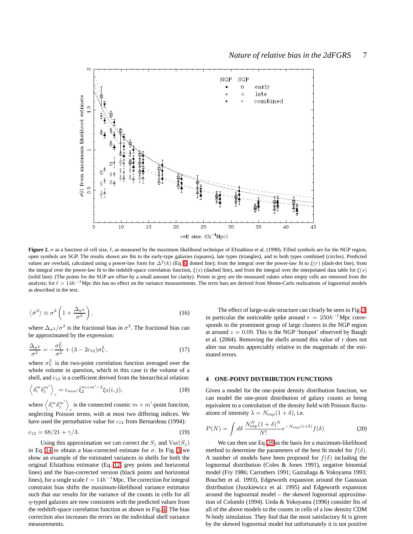

<span id="page-6-1"></span>**Figure 2.**  $\sigma$  as a function of cell size,  $\ell$ , as measured by the maximum likelihood technique of Efstathiou et al. (1990). Filled symbols are for the NGP region, open symbols are SGP. The results shown are fits to the early-type galaxies (squares), late types (triangles), and to both types combined (circles). Predicted values are overlaid, calculated using a power-law form for  $\Delta^2(k)$  (Eq. [6;](#page-4-1) dotted line); from the integral over the power-law fit to  $\xi(r)$  (dash-dot line), from the integral over the power-law fit to the redshift-space correlation function,  $\xi(s)$  (dashed line), and from the integral over the interpolated data table for  $\xi(s)$ (solid line). (The points for the SGP are offset by a small amount for clarity). Points in grey are the measured values when empty cells are removed from the analysis; for  $\ell > 14h^{-1}$ Mpc this has no effect on the variance measurements. The error bars are derived from Monte-Carlo realizations of lognormal models as described in the text.

$$
\left\langle \hat{\sigma}^2 \right\rangle \equiv \sigma^2 \left( 1 + \frac{\Delta_{\sigma^2}}{\sigma^2} \right),\tag{16}
$$

where  $\Delta_{\sigma^2}/\sigma^2$  is the fractional bias in  $\sigma^2$ . The fractional bias can be approximated by the expression:

$$
\frac{\Delta_{\sigma^2}}{\sigma^2} = -\frac{\sigma_V^2}{\sigma^2} + (3 - 2c_{12})\sigma_V^2,\tag{17}
$$

where  $\sigma_V^2$  is the two-point correlation function averaged over the whole volume in question, which in this case is the volume of a shell, and  $c_{12}$  is a coefficient derived from the hierarchical relation:

$$
\left\langle \delta_i^m \delta_j^{m'} \right\rangle_c = c_{mm'} \bar{\xi}_2^{m+m'-2} \xi_2(i,j),\tag{18}
$$

where  $\left\langle \delta_{i}^{m}\delta_{j}^{m'}\right\rangle$ is the connected cosmic  $m + m'$ -point function, neglecting Poisson terms, with at most two differing indices. We have used the perturbative value for  $c_{12}$  from Bernardeau (1994):

$$
c_{12} = 68/21 + \gamma/3. \tag{19}
$$

Using this approximation we can correct the  $S_j$  and  $\text{Var}(S_j)$ in Eq. [14](#page-5-3) to obtain a bias-corrected estimate for  $\sigma$ . In Fig. [3](#page-7-1) we show an example of the estimated variances in shells for both the original Efstathiou estimator (Eq. [12;](#page-5-2) grey points and horizontal lines) and the bias-corrected version (black points and horizontal lines), for a single scale  $\ell = 14h^{-1}$  Mpc. The correction for integral constraint bias shifts the maximum-likelihood variance estimator such that our results for the variance of the counts in cells for all  $\eta$ -typed galaxies are now consistent with the predicted values from the redshift-space correlation function as shown in Fig. [4.](#page-7-0) The bias correction also increases the errors on the individual shell variance measurements.

The effect of large-scale structure can clearly be seen in Fig. [3;](#page-7-1) in particular the noticeable spike around  $r = 250h^{-1}$ Mpc corresponds to the prominent group of large clusters in the NGP region at around  $z = 0.09$ . This is the NGP 'hotspot' observed by Baugh et al. (2004). Removing the shells around this value of  $r$  does not alter our results appreciably relative to the magnitude of the estimated errors.

## <span id="page-6-0"></span>**4 ONE-POINT DISTRIBUTION FUNCTIONS**

Given a model for the one-point density distribution function, we can model the one-point distribution of galaxy counts as being equivalent to a convolution of the density field with Poisson fluctuations of intensity  $\lambda = N_{\rm exp}(1+\delta)$ , i.e.

<span id="page-6-2"></span>
$$
P(N) = \int d\delta \frac{N_{\text{exp}}^{N}(1+\delta)^{N}}{N!} e^{-N_{\text{exp}}(1+\delta)} f(\delta)
$$
 (20)

We can then use Eq. [20](#page-6-2) as the basis for a maximum-likelihood method to determine the parameters of the best fit model for  $f(\delta)$ . A number of models have been proposed for  $f(\delta)$  including the lognormal distribution (Coles & Jones 1991), negative binomial model (Fry 1986; Carruthers 1991; Gaztañaga & Yokoyama 1993; Bouchet et al. 1993), Edgeworth expansion around the Gaussian distribution (Juszkiewicz et al. 1995) and Edgeworth expansion around the lognormal model – the skewed lognormal approximation of Colombi (1994). Ueda & Yokoyama (1996) consider fits of all of the above models to the counts in cells of a low density CDM N-body simulation. They find that the most satisfactory fit is given by the skewed lognormal model but unfortunately it is not positive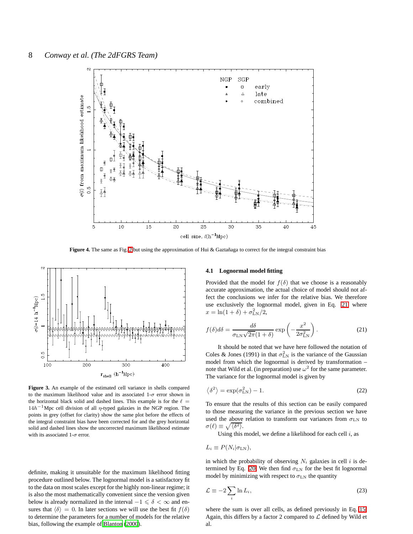

**Figure 4.** The same as Fig. [2](#page-6-1) but using the approximation of Hui & Gaztañaga to correct for the integral constraint bias

<span id="page-7-0"></span>

<span id="page-7-1"></span>**Figure 3.** An example of the estimated cell variance in shells compared to the maximum likelihood value and its associated  $1-\sigma$  error shown in the horizontal black solid and dashed lines. This example is for the  $\ell =$  $14h^{-1}$  Mpc cell division of all  $\eta$ -typed galaxies in the NGP region. The points in grey (offset for clarity) show the same plot before the effects of the integral constraint bias have been corrected for and the grey horizontal solid and dashed lines show the uncorrected maximum likelihood estimate with its associated 1- $\sigma$  error.

definite, making it unsuitable for the maximum likelihood fitting procedure outlined below. The lognormal model is a satisfactory fit to the data on most scales except for the highly non-linear regime; it is also the most mathematically convenient since the version given below is already normalized in the interval  $-1 \le \delta < \infty$  and ensures that  $\langle \delta \rangle = 0$ . In later sections we will use the best fit  $f(\delta)$ to determine the parameters for a number of models for the relative bias, following the example of [Blanton \(2000\)](#page-17-1).

## **4.1 Lognormal model fitting**

Provided that the model for  $f(\delta)$  that we choose is a reasonably accurate approximation, the actual choice of model should not affect the conclusions we infer for the relative bias. We therefore use exclusively the lognormal model, given in Eq. [21,](#page-7-2) where  $x = \ln(1+\delta) + \sigma_{LN}^2/2,$ 

<span id="page-7-2"></span>
$$
f(\delta)d\delta = \frac{d\delta}{\sigma_{LN}\sqrt{2\pi}(1+\delta)}\exp\left(-\frac{x^2}{2\sigma_{LN}^2}\right).
$$
 (21)

It should be noted that we have here followed the notation of Coles & Jones (1991) in that  $\sigma_{LN}^2$  is the variance of the Gaussian model from which the lognormal is derived by transformation – note that Wild et al. (in preparation) use  $\omega^2$  for the same parameter. The variance for the lognormal model is given by

$$
\langle \delta^2 \rangle = \exp(\sigma_{\text{LN}}^2) - 1. \tag{22}
$$

To ensure that the results of this section can be easily compared to those measuring the variance in the previous section we have used the above relation to transform our variances from  $\sigma_{LN}$  to  $\sigma(\ell) \equiv \sqrt{\langle \delta^2 \rangle}.$ 

Using this model, we define a likelihood for each cell  $i$ , as

$$
L_i \equiv P(N_i | \sigma_{LN}),
$$

in which the probability of observing  $N_i$  galaxies in cell i is de-termined by Eq. [20.](#page-6-2) We then find  $\sigma_{LN}$  for the best fit lognormal model by minimizing with respect to  $\sigma_{LN}$  the quantity

<span id="page-7-3"></span>
$$
\mathcal{L} \equiv -2 \sum_{i} \ln L_{i},\tag{23}
$$

where the sum is over all cells, as defined previously in Eq. [15.](#page-5-4) Again, this differs by a factor 2 compared to  $\mathcal L$  defined by Wild et al.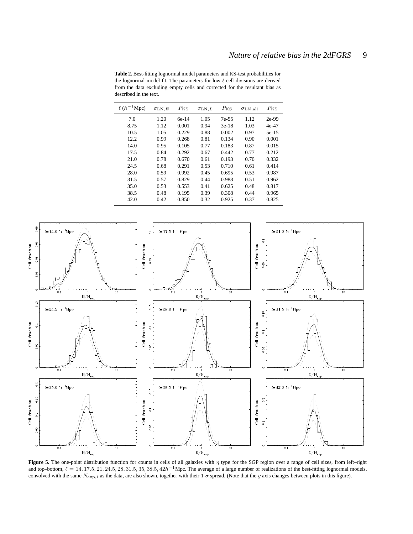<span id="page-8-1"></span>**Table 2.** Best-fitting lognormal model parameters and KS-test probabilities for the lognormal model fit. The parameters for low  $\ell$  cell divisions are derived from the data excluding empty cells and corrected for the resultant bias as described in the text.

| $\ell(h^{-1}\text{Mpc})$ | $\sigma$ LN,E | $P_{\rm KS}$ | $\sigma_{\mathrm{LN},L}$ | $P_{\rm KS}$ | $\sigma_{LN,all}$ | $P_{\rm KS}$ |
|--------------------------|---------------|--------------|--------------------------|--------------|-------------------|--------------|
| 7.0                      | 1.20          | $6e-14$      | 1.05                     | $7e-55$      | 1.12              | $2e-99$      |
| 8.75                     | 1.12          | 0.001        | 0.94                     | $3e-18$      | 1.03              | 4e-47        |
| 10.5                     | 1.05          | 0.229        | 0.88                     | 0.002        | 0.97              | $5e-15$      |
| 12.2                     | 0.99          | 0.268        | 0.81                     | 0.134        | 0.90              | 0.001        |
| 14.0                     | 0.95          | 0.105        | 0.77                     | 0.183        | 0.87              | 0.015        |
| 17.5                     | 0.84          | 0.292        | 0.67                     | 0.442        | 0.77              | 0.212        |
| 21.0                     | 0.78          | 0.670        | 0.61                     | 0.193        | 0.70              | 0.332        |
| 24.5                     | 0.68          | 0.291        | 0.53                     | 0.710        | 0.61              | 0.414        |
| 28.0                     | 0.59          | 0.992        | 0.45                     | 0.695        | 0.53              | 0.987        |
| 31.5                     | 0.57          | 0.829        | 0.44                     | 0.988        | 0.51              | 0.962        |
| 35.0                     | 0.53          | 0.553        | 0.41                     | 0.625        | 0.48              | 0.817        |
| 38.5                     | 0.48          | 0.195        | 0.39                     | 0.308        | 0.44              | 0.965        |
| 42.0                     | 0.42          | 0.850        | 0.32                     | 0.925        | 0.37              | 0.825        |



<span id="page-8-0"></span>**Figure 5.** The one-point distribution function for counts in cells of all galaxies with  $\eta$  type for the SGP region over a range of cell sizes, from left–right and top–bottom,  $\ell = 14, 17.5, 21, 24.5, 28, 31.5, 35, 38.5, 42h^{-1}$ Mpc. The average of a large number of realizations of the best-fitting lognormal models, convolved with the same  $N_{\exp,i}$  as the data, are also shown, together with their 1- $\sigma$  spread. (Note that the y axis changes between plots in this figure).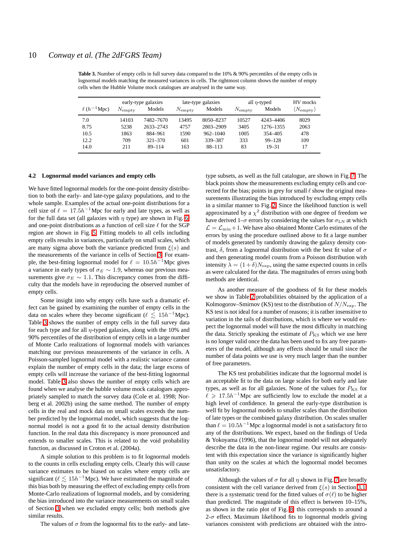<span id="page-9-1"></span>**Table 3.** Number of empty cells in full survey data compared to the 10% & 90% percentiles of the empty cells in lognormal models matching the measured variances in cells. The rightmost column shows the number of empty cells when the Hubble Volume mock catalogues are analysed in the same way.

|                   | early-type galaxies |             | late-type galaxies |              | all $\eta$ -typed |            | HV mocks                        |
|-------------------|---------------------|-------------|--------------------|--------------|-------------------|------------|---------------------------------|
| $\ell(h^{-1}Mpc)$ | $N_{\rm{empty}}$    | Models      | $N_{\rm{empty}}$   | Models       | $N_{\rm empty}$   | Models     | $\langle N_{\rm empty} \rangle$ |
| 7.0               | 14103               | 7482-7670   | 13495              | 8050-8237    | 10527             | 4243-4406  | 8029                            |
| 8.75              | 5238                | 2633-2743   | 4757               | 2803-2909    | 3405              | 1276-1355  | 2063                            |
| 10.5              | 1863                | 884-961     | 1590               | $962 - 1040$ | 1005              | 354 405    | 478                             |
| 12.2              | 709                 | $321 - 370$ | 601                | 339-387      | 333               | $99 - 128$ | 109                             |
| 14.0              | 211                 | $89 - 114$  | 163                | 88-113       | 83                | $19 - 31$  | 17                              |

#### <span id="page-9-0"></span>**4.2 Lognormal model variances and empty cells**

We have fitted lognormal models for the one-point density distribution to both the early- and late-type galaxy populations, and to the whole sample. Examples of the actual one-point distributions for a cell size of  $\ell = 17.5h^{-1}$ Mpc for early and late types, as well as for the full data set (all galaxies with  $\eta$  type) are shown in Fig. [6,](#page-10-1) and one-point distributions as a function of cell size  $\ell$  for the SGP region are shown in Fig. [5.](#page-8-0) Fitting models to all cells including empty cells results in variances, particularly on small scales, which are many sigma above both the variance predicted from  $\xi(s)$  and the measurements of the variance in cells of Section [3.](#page-4-0) For example, the best-fitting lognormal model for  $\ell = 10.5h^{-1}$ Mpc gives a variance in early types of  $\sigma_E \sim 1.9$ , whereas our previous measurements give  $\sigma_E \sim 1.1$ . This discrepancy comes from the difficulty that the models have in reproducing the observed number of empty cells.

Some insight into why empty cells have such a dramatic effect can be gained by examining the number of empty cells in the data on scales where they become significant ( $\ell \lesssim 15h^{-1}$ Mpc). Table [3](#page-9-1) shows the number of empty cells in the full survey data for each type and for all  $\eta$ -typed galaxies, along with the 10% and 90% percentiles of the distribution of empty cells in a large number of Monte Carlo realizations of lognormal models with variances matching our previous measurements of the variance in cells. A Poisson-sampled lognormal model with a realistic variance cannot explain the number of empty cells in the data; the large excess of empty cells will increase the variance of the best-fitting lognormal model. Table [3](#page-9-1) also shows the number of empty cells which are found when we analyse the hubble volume mock catalogues appropriately sampled to match the survey data (Cole et al. 1998; Norberg et al. 2002b) using the same method. The number of empty cells in the real and mock data on small scales exceeds the number predicted by the lognormal model, which suggests that the lognormal model is not a good fit to the actual density distribution function. In the real data this discrepancy is more pronounced and extends to smaller scales. This is related to the void probability function, as discussed in Croton et al. (2004a).

A simple solution to this problem is to fit lognormal models to the counts in cells excluding empty cells. Clearly this will cause variance estimates to be biased on scales where empty cells are significant ( $\ell \lesssim 15h^{-1}$ Mpc). We have estimated the magnitude of this bias both by measuring the effect of excluding empty cells from Monte-Carlo realizations of lognormal models, and by considering the bias introduced into the variance measurements on small scales of Section [3](#page-4-0) when we excluded empty cells; both methods give similar results.

The values of  $\sigma$  from the lognormal fits to the early- and late-

type subsets, as well as the full catalogue, are shown in Fig. [7.](#page-10-0) The black points show the measurements excluding empty cells and corrected for the bias; points in grey for small  $\ell$  show the original measurements illustrating the bias introduced by excluding empty cells in a similar manner to Fig. [2.](#page-6-1) Since the likelihood function is well approximated by a  $\chi^2$  distribution with one degree of freedom we have derived 1– $\sigma$  errors by considering the values for  $\sigma_{LN}$  at which  $\mathcal{L} = \mathcal{L}_{\text{min}} + 1$ . We have also obtained Monte Carlo estimates of the errors by using the procedure outlined above to fit a large number of models generated by randomly drawing the galaxy density contrast,  $\delta$ , from a lognormal distribution with the best fit value of  $\sigma$ and then generating model counts from a Poisson distribution with intensity  $\lambda = (1+\delta)N_{\text{exp}}$ , using the same expected counts in cells as were calculated for the data. The magnitudes of errors using both methods are identical.

As another measure of the goodness of fit for these models we show in Table [2](#page-8-1) probabilities obtained by the application of a Kolmogorov–Smirnov (KS) test to the distribution of  $N/N_{\rm exp}$ . The KS test is not ideal for a number of reasons; it is rather insensitive to variation in the tails of distributions, which is where we would expect the lognormal model will have the most difficulty in matching the data. Strictly speaking the estimate of  $P_{\text{KS}}$  which we use here is no longer valid once the data has been used to fix any free parameters of the model, although any effects should be small since the number of data points we use is very much larger than the number of free parameters.

The KS test probabilities indicate that the lognormal model is an acceptable fit to the data on large scales for both early and late types, as well as for all galaxies. None of the values for  $P_{\text{KS}}$  for  $\ell \geq 17.5h^{-1}$  Mpc are sufficiently low to exclude the model at a high level of confidence. In general the early-type distribution is well fit by lognormal models to smaller scales than the distribution of late types or the combined galaxy distribution. On scales smaller than  $\ell = 10.5h^{-1}$  Mpc a lognormal model is not a satisfactory fit to any of the distributions. We expect, based on the findings of Ueda & Yokoyama (1996), that the lognormal model will not adequately describe the data in the non-linear regime. Our results are consistent with this expectation since the variance is significantly higher than unity on the scales at which the lognormal model becomes unsatisfactory.

Although the values of  $\sigma$  for all  $\eta$  shown in Fig. [7](#page-10-0) are broadly consistent with the cell variance derived from  $\xi(s)$  in Section [3.1,](#page-4-3) there is a systematic trend for the fitted values of  $\sigma(\ell)$  to be higher than predicted. The magnitude of this effect is between 10–15%, as shown in the ratio plot of Fig. [8;](#page-10-2) this corresponds to around a 2- $\sigma$  effect. Maximum likelihood fits to lognormal models giving variances consistent with predictions are obtained with the intro-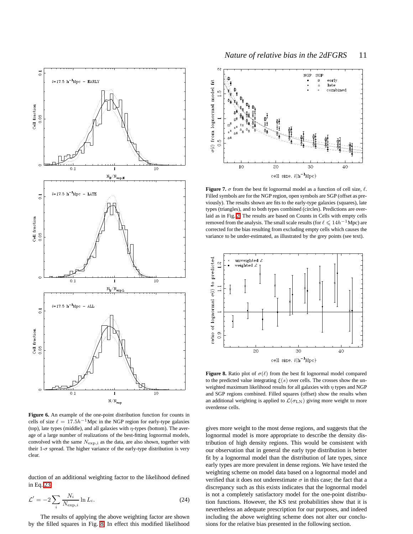

<span id="page-10-1"></span>**Figure 6.** An example of the one-point distribution function for counts in cells of size  $\ell = 17.5h^{-1}$ Mpc in the NGP region for early-type galaxies (top), late types (middle), and all galaxies with  $\eta$ -types (bottom). The average of a large number of realizations of the best-fitting lognormal models, convolved with the same  $N_{\text{exp,i}}$  as the data, are also shown, together with their 1- $\sigma$  spread. The higher variance of the early-type distribution is very clear.

duction of an additional weighting factor to the likelihood defined in Eq. [23:](#page-7-3)

$$
\mathcal{L}' = -2 \sum_{i} \frac{N_i}{N_{\text{exp},i}} \ln L_i.
$$
 (24)

The results of applying the above weighting factor are shown by the filled squares in Fig. [8.](#page-10-2) In effect this modified likelihood



<span id="page-10-0"></span>**Figure 7.**  $\sigma$  from the best fit lognormal model as a function of cell size,  $\ell$ . Filled symbols are for the NGP region, open symbols are SGP (offset as previously). The results shown are fits to the early-type galaxies (squares), late types (triangles), and to both types combined (circles). Predictions are overlaid as in Fig. [2.](#page-6-1) The results are based on Counts in Cells with empty cells removed from the analysis. The small scale results (for  $\ell \leq 14h^{-1}$  Mpc) are corrected for the bias resulting from excluding empty cells which causes the variance to be under-estimated, as illustrated by the grey points (see text).



<span id="page-10-2"></span>**Figure 8.** Ratio plot of  $\sigma(\ell)$  from the best fit lognormal model compared to the predicted value integrating  $\xi(s)$  over cells. The crosses show the unweighted maximum likelihood results for all galaxies with  $\eta$  types and NGP and SGP regions combined. Filled squares (offset) show the results when an additional weighting is applied to  $\mathcal{L}(\sigma_{LN})$  giving more weight to more overdense cells.

gives more weight to the most dense regions, and suggests that the lognormal model is more appropriate to describe the density distribution of high density regions. This would be consistent with our observation that in general the early type distribution is better fit by a lognormal model than the distribution of late types, since early types are more prevalent in dense regions. We have tested the weighting scheme on model data based on a lognormal model and verified that it does not underestimate  $\sigma$  in this case; the fact that a discrepancy such as this exists indicates that the lognormal model is not a completely satisfactory model for the one-point distribution functions. However, the KS test probabilities show that it is nevertheless an adequate prescription for our purposes, and indeed including the above weighting scheme does not alter our conclusions for the relative bias presented in the following section.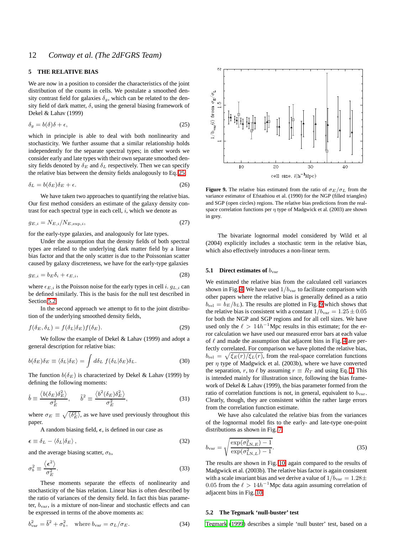## <span id="page-11-0"></span>**5 THE RELATIVE BIAS**

We are now in a position to consider the characteristics of the joint distribution of the counts in cells. We postulate a smoothed density contrast field for galaxies  $\delta_g$ , which can be related to the density field of dark matter,  $\delta$ , using the general biasing framework of Dekel & Lahav (1999)

<span id="page-11-1"></span>
$$
\delta_g = b(\delta)\delta + \epsilon,\tag{25}
$$

which in principle is able to deal with both nonlinearity and stochasticity. We further assume that a similar relationship holds independently for the separate spectral types; in other words we consider early and late types with their own separate smoothed density fields denoted by  $\delta_E$  and  $\delta_L$  respectively. Then we can specify the relative bias between the density fields analogously to Eq. [25:](#page-11-1)

$$
\delta_L = b(\delta_E)\delta_E + \epsilon. \tag{26}
$$

We have taken two approaches to quantifying the relative bias. Our first method considers an estimate of the galaxy density contrast for each spectral type in each cell,  $i$ , which we denote as

$$
g_{E,i} = N_{E,i}/N_{E,\exp,i},\tag{27}
$$

for the early-type galaxies, and analogously for late types.

Under the assumption that the density fields of both spectral types are related to the underlying dark matter field by a linear bias factor and that the only scatter is due to the Poissonian scatter caused by galaxy discreteness, we have for the early-type galaxies

<span id="page-11-4"></span>
$$
g_{E,i} = b_E \delta_i + \epsilon_{E,i},\tag{28}
$$

where  $\epsilon_{E,i}$  is the Poisson noise for the early types in cell i.  $g_{L,i}$  can be defined similarly. This is the basis for the null test described in Section [5.2.](#page-11-2)

<span id="page-11-5"></span>In the second approach we attempt to fit to the joint distribution of the underlying smoothed density fields,

$$
f(\delta_E, \delta_L) = f(\delta_L | \delta_E) f(\delta_E). \tag{29}
$$

We follow the example of Dekel & Lahav (1999) and adopt a general description for relative bias:

$$
b(\delta_E)\delta_E \equiv \langle \delta_L | \delta_E \rangle = \int d\delta_L f(\delta_L | \delta_E) \delta_L. \tag{30}
$$

The function  $b(\delta_E)$  is characterized by Dekel & Lahav (1999) by defining the following moments:

<span id="page-11-6"></span>
$$
\hat{b} \equiv \frac{\langle b(\delta_E)\delta_E^2 \rangle}{\sigma_E^2}, \qquad \tilde{b}^2 \equiv \frac{\langle b^2(\delta_E)\delta_E^2 \rangle}{\sigma_E^2},
$$
\n(31)

where  $\sigma_E \equiv \sqrt{\langle \delta_E^2 \rangle}$ , as we have used previously throughout this paper.

A random biasing field,  $\epsilon$ , is defined in our case as

$$
\epsilon \equiv \delta_L - \langle \delta_L | \delta_E \rangle \,, \tag{32}
$$

<span id="page-11-7"></span>and the average biasing scatter,  $\sigma_b$ ,

$$
\sigma_b^2 \equiv \frac{\langle \epsilon^2 \rangle}{\sigma_E^2}.
$$
\n(33)

These moments separate the effects of nonlinearity and stochasticity of the bias relation. Linear bias is often described by the ratio of variances of the density field. In fact this bias parameter,  $b_{\text{var}}$ , is a mixture of non-linear and stochastic effects and can be expressed in terms of the above moments as:

$$
b_{\text{var}}^2 = \tilde{b}^2 + \sigma_b^2, \quad \text{where } b_{\text{var}} = \sigma_L / \sigma_E. \tag{34}
$$



<span id="page-11-3"></span>**Figure 9.** The relative bias estimated from the ratio of  $\sigma_E/\sigma_L$  from the variance estimator of Efstathiou et al. (1990) for the NGP (filled triangles) and SGP (open circles) regions. The relative bias predictions from the realspace correlation functions per  $\eta$  type of Madgwick et al. (2003) are shown in grey.

The bivariate lognormal model considered by Wild et al (2004) explicitly includes a stochastic term in the relative bias, which also effectively introduces a non-linear term.

## **5.1 Direct estimates of**  $b_{\text{var}}$

We estimated the relative bias from the calculated cell variances shown in Fig. [4.](#page-7-0) We have used  $1/b<sub>var</sub>$  to facilitate comparison with other papers where the relative bias is generally defined as a ratio  $b_{\text{rel}} = b_E/b_L$ ). The results are plotted in Fig. [9](#page-11-3) which shows that the relative bias is consistent with a constant  $1/b_{\text{var}} = 1.25 \pm 0.05$ for both the NGP and SGP regions and for all cell sizes. We have used only the  $\ell > 14h^{-1}$ Mpc results in this estimate; for the error calculation we have used our measured error bars at each value of  $\ell$  and made the assumption that adjacent bins in Fig. [4](#page-7-0) are perfectly correlated. For comparison we have plotted the relative bias,  $b_{\text{rel}} = \sqrt{\xi_E(r)/\xi_L(r)}$ , from the real-space correlation functions per  $\eta$  type of Madgwick et al. (2003b), where we have converted the separation, r, to  $\ell$  by assuming  $r \equiv R_T$  and using Eq. [1.](#page-2-0) This is intended mainly for illustration since, following the bias framework of Dekel & Lahav (1999), the bias parameter formed from the ratio of correlation functions is not, in general, equivalent to  $b_{\text{var}}$ . Clearly, though, they are consistent within the rather large errors from the correlation function estimate.

We have also calculated the relative bias from the variances of the lognormal model fits to the early- and late-type one-point distributions as shown in Fig. [7,](#page-10-0)

$$
b_{\text{var}} = \sqrt{\frac{\exp(\sigma_{\text{LN},E}^{2}) - 1}{\exp(\sigma_{\text{LN},L}^{2}) - 1}}.
$$
 (35)

The results are shown in Fig. [10,](#page-12-0) again compared to the results of Madgwick et al. (2003b). The relative bias factor is again consistent with a scale invariant bias and we derive a value of  $1/b_{\text{var}} = 1.28 \pm$ 0.05 from the  $\ell > 14h^{-1}$ Mpc data again assuming correlation of adjacent bins in Fig. [10.](#page-12-0)

#### <span id="page-11-2"></span>**5.2 The Tegmark 'null-buster' test**

[Tegmark \(1999\)](#page-18-2) describes a simple 'null buster' test, based on a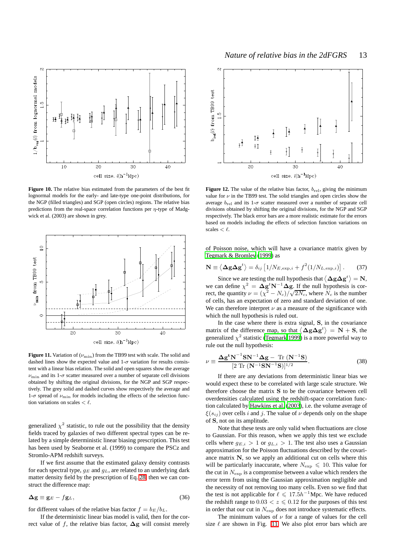

<span id="page-12-0"></span>**Figure 10.** The relative bias estimated from the parameters of the best fit lognormal models for the early- and late-type one-point distributions, for the NGP (filled triangles) and SGP (open circles) regions. The relative bias predictions from the real-space correlation functions per  $\eta$ -type of Madgwick et al. (2003) are shown in grey.



<span id="page-12-1"></span>**Figure 11.** Variation of  $(\nu_{\text{min}})$  from the TB99 test with scale. The solid and dashed lines show the expected value and  $1-\sigma$  variation for results consistent with a linear bias relation. The solid and open squares show the average  $\nu_{\text{min}}$  and its 1- $\sigma$  scatter measured over a number of separate cell divisions obtained by shifting the original divisions, for the NGP and SGP respectively. The grey solid and dashed curves show respectively the average and 1- $\sigma$  spread of  $\nu_{\rm min}$  for models including the effects of the selection function variations on scales  $\lt$   $\ell$ .

generalized  $\chi^2$  statistic, to rule out the possibility that the density fields traced by galaxies of two different spectral types can be related by a simple deterministic linear biasing prescription. This test has been used by Seaborne et al. (1999) to compare the PSCz and Stromlo-APM redshift surveys.

If we first assume that the estimated galaxy density contrasts for each spectral type,  $g_E$  and  $g_L$ , are related to an underlying dark matter density field by the prescription of Eq. [28,](#page-11-4) then we can construct the difference map:

$$
\Delta g \equiv g_E - f g_L, \tag{36}
$$

for different values of the relative bias factor  $f = b_E/b_L$ .

If the deterministic linear bias model is valid, then for the correct value of f, the relative bias factor,  $\Delta$ g will consist merely



<span id="page-12-3"></span>**Figure 12.** The value of the relative bias factor,  $b_{\text{rel}}$ , giving the minimum value for  $\nu$  in the TB99 test. The solid triangles and open circles show the average  $b_{\text{rel}}$  and its 1- $\sigma$  scatter measured over a number of separate cell divisions obtained by shifting the original divisions, for the NGP and SGP respectively. The black error bars are a more realistic estimate for the errors based on models including the effects of selection function variations on scales  $\lt$   $\ell$ .

<span id="page-12-2"></span>of Poisson noise, which will have a covariance matrix given by [Tegmark & Bromley](#page-18-5) [\(1999](#page-18-5)) as

$$
\mathbf{N} \equiv \left\langle \mathbf{\Delta g} \mathbf{\Delta g}^{t} \right\rangle = \delta_{ij} \left[ 1/N_{E,\exp,i} + f^{2} (1/N_{L,\exp,i}) \right]. \tag{37}
$$

Since we are testing the null hypothesis that  $\langle \Delta g \Delta g^t \rangle = N$ , we can define  $\chi^2 = \Delta g^t \mathbf{N}^{-1} \Delta g$ . If the null hypothesis is correct, the quantity  $\nu = (\chi^2 - N_c)/\sqrt{2N_c}$ , where  $N_c$  is the number of cells, has an expectation of zero and standard deviation of one. We can therefore interpret  $\nu$  as a measure of the significance with which the null hypothesis is ruled out.

In the case where there is extra signal, S, in the covariance matrix of the difference map, so that  $\langle \Delta g \Delta g^t \rangle = N + S$ , the generalized  $\chi^2$  statistic [\(Tegmark 1999](#page-18-2)) is a more powerful way to rule out the null hypothesis:

$$
\nu \equiv \frac{\Delta g^{\mathbf{t}} \mathbf{N}^{-1} \mathbf{S} \mathbf{N}^{-1} \Delta \mathbf{g} - \text{Tr} \left( \mathbf{N}^{-1} \mathbf{S} \right)}{[2 \text{ Tr} \left( \mathbf{N}^{-1} \mathbf{S} \mathbf{N}^{-1} \mathbf{S} \right)]^{1/2}}.
$$
 (38)

If there are any deviations from deterministic linear bias we would expect these to be correlated with large scale structure. We therefore choose the matrix S to be the covariance between cell overdensities calculated using the redshift-space correlation function calculated by [Hawkins et al. \(2003\)](#page-18-6), i.e. the volume average of  $\xi(s_{ij})$  over cells i and j. The value of  $\nu$  depends only on the shape of S, not on its amplitude.

Note that these tests are only valid when fluctuations are close to Gaussian. For this reason, when we apply this test we exclude cells where  $g_{E,i} > 1$  or  $g_{L,i} > 1$ . The test also uses a Gaussian approximation for the Poisson fluctuations described by the covariance matrix  $N$ , so we apply an additional cut on cells where this will be particularly inaccurate, where  $N_{\rm exp} \le 10$ . This value for the cut in  $N_{\rm exp}$  is a compromise between a value which renders the error term from using the Gaussian approximation negligible and the necessity of not removing too many cells. Even so we find that the test is not applicable for  $\ell \leq 17.5h^{-1}$  Mpc. We have reduced the redshift range to  $0.03 < z \le 0.12$  for the purposes of this test in order that our cut in  $N_{\rm exp}$  does not introduce systematic effects.

The minimum values of  $\nu$  for a range of values for the cell size  $\ell$  are shown in Fig. [11.](#page-12-1) We also plot error bars which are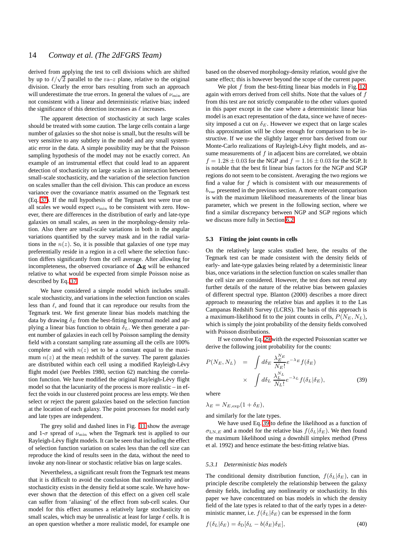derived from applying the test to cell divisions which are shifted by up to  $\ell/\sqrt{2}$  parallel to the ra–z plane, relative to the original division. Clearly the error bars resulting from such an approach will underestimate the true errors. In general the values of  $\nu_{\min}$  are not consistent with a linear and deterministic relative bias; indeed the significance of this detection increases as  $\ell$  increases.

The apparent detection of stochasticity at such large scales should be treated with some caution. The large cells contain a large number of galaxies so the shot noise is small, but the results will be very sensitive to any subtlety in the model and any small systematic error in the data. A simple possibility may be that the Poisson sampling hypothesis of the model may not be exactly correct. An example of an instrumental effect that could lead to an apparent detection of stochasticity on large scales is an interaction between small-scale stochasticity, and the variation of the selection function on scales smaller than the cell division. This can produce an excess variance over the covariance matrix assumed on the Tegmark test (Eq. [37\)](#page-12-2). If the null hypothesis of the Tegmark test were true on all scales we would expect  $\nu_{\min}$  to be consistent with zero. However, there are differences in the distribution of early and late-type galaxies on small scales, as seen in the morphology-density relation. Also there are small-scale variations in both in the angular variations quantified by the survey mask and in the radial variations in the  $n(z)$ . So, it is possible that galaxies of one type may preferentially reside in a region in a cell where the selection function differs significantly from the cell average. After allowing for incompleteness, the observed covariance of  $\Delta$ g will be enhanced relative to what would be expected from simple Poisson noise as described by Eq. [37.](#page-12-2)

We have considered a simple model which includes smallscale stochasticity, and variations in the selection function on scales less than  $\ell$ , and found that it can reproduce our results from the Tegmark test. We first generate linear bias models matching the data by drawing  $\delta_E$  from the best-fitting lognormal model and applying a linear bias function to obtain  $\delta_L$ . We then generate a parent number of galaxies in each cell by Poisson sampling the density field with a constant sampling rate assuming all the cells are 100% complete and with  $n(z)$  set to be a constant equal to the maximum  $n(z)$  at the mean redshift of the survey. The parent galaxies are distributed within each cell using a modified Rayleigh-Lévy flight model (see Peebles 1980, section 62) matching the correlation function. We have modified the original Rayleigh-Lévy flight model so that the lacuniarity of the process is more realistic – in effect the voids in our clustered point process are less empty. We then select or reject the parent galaxies based on the selection function at the location of each galaxy. The point processes for model early and late types are independent.

The grey solid and dashed lines in Fig. [11](#page-12-1) show the average and 1- $\sigma$  spread of  $\nu_{\text{min}}$  when the Tegmark test is applied to our Rayleigh-Lévy flight models. It can be seen that including the effect of selection function variation on scales less than the cell size can reproduce the kind of results seen in the data, without the need to invoke any non-linear or stochastic relative bias on large scales.

Nevertheless, a significant result from the Tegmark test means that it is difficult to avoid the conclusion that nonlinearity and/or stochasticity exists in the density field at some scale. We have however shown that the detection of this effect on a given cell scale can suffer from 'aliasing' of the effect from sub-cell scales. Our model for this effect assumes a relatively large stochasticity on small scales, which may be unrealistic at least for large  $\ell$  cells. It is an open question whether a more realistic model, for example one based on the observed morphology-density relation, would give the same effect; this is however beyond the scope of the current paper.

We plot  $f$  from the best-fitting linear bias models in Fig. [12,](#page-12-3) again with errors derived from cell shifts. Note that the values of f from this test are not strictly comparable to the other values quoted in this paper except in the case where a deterministic linear bias model is an exact representation of the data, since we have of necessity imposed a cut on  $\delta_E$ . However we expect that on large scales this approximation will be close enough for comparison to be instructive. If we use the slightly larger error bars derived from our Monte-Carlo realizations of Rayleigh-Lévy flight models, and assume measurements of  $f$  in adjacent bins are correlated, we obtain  $f = 1.28 \pm 0.03$  for the NGP and  $f = 1.16 \pm 0.03$  for the SGP. It is notable that the best fit linear bias factors for the NGP and SGP regions do not seem to be consistent. Averaging the two regions we find a value for  $f$  which is consistent with our measurements of  $b_{\text{var}}$  presented in the previous section. A more relevant comparison is with the maximum likelihood measurements of the linear bias parameter, which we present in the following section, where we find a similar discrepancy between NGP and SGP regions which we discuss more fully in Section [6.2.](#page-17-2)

## **5.3 Fitting the joint counts in cells**

On the relatively large scales studied here, the results of the Tegmark test can be made consistent with the density fields of early- and late-type galaxies being related by a deterministic linear bias, once variations in the selection function on scales smaller than the cell size are considered. However, the test does not reveal any further details of the nature of the relative bias between galaxies of different spectral type. Blanton (2000) describes a more direct approach to measuring the relative bias and applies it to the Las Campanas Redshift Survey (LCRS). The basis of this approach is a maximum-likelihood fit to the joint counts in cells,  $P(N_E, N_L)$ , which is simply the joint probability of the density fields convolved with Poisson distributions.

If we convolve Eq. [29](#page-11-5) with the expected Poissonian scatter we derive the following joint probability for the counts:

<span id="page-13-0"></span>
$$
P(N_E, N_L) = \int d\delta_E \frac{\lambda_E^{N_E}}{N_E!} e^{-\lambda_E} f(\delta_E)
$$
  
 
$$
\times \int d\delta_L \frac{\lambda_L^{N_L}}{N_L!} e^{-\lambda_L} f(\delta_L | \delta_E), \qquad (39)
$$

where

 $\lambda_E = N_{E,\exp}(1+\delta_E),$ 

and similarly for the late types.

We have used Eq. [39](#page-13-0) to define the likelihood as a function of  $\sigma_{LN,E}$  and a model for the relative bias  $f(\delta_L|\delta_E)$ . We then found the maximum likelihood using a downhill simplex method (Press et al. 1992) and hence estimate the best-fitting relative bias.

#### <span id="page-13-1"></span>*5.3.1 Deterministic bias models*

The conditional density distribution function,  $f(\delta_L|\delta_E)$ , can in principle describe completely the relationship between the galaxy density fields, including any nonlinearity or stochasticity. In this paper we have concentrated on bias models in which the density field of the late types is related to that of the early types in a deterministic manner, i.e.  $f(\delta_L|\delta_E)$  can be expressed in the form

$$
f(\delta_L|\delta_E) = \delta_D[\delta_L - b(\delta_E)\delta_E],\tag{40}
$$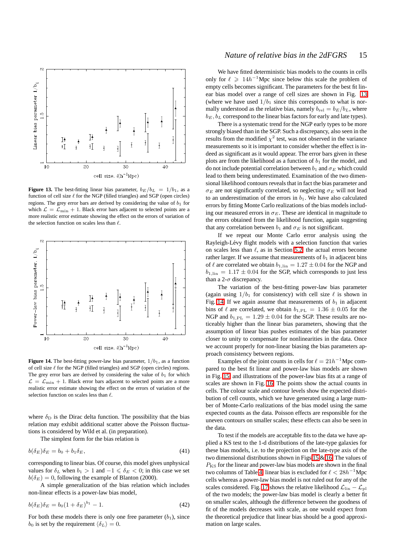

<span id="page-14-0"></span>**Figure 13.** The best-fitting linear bias parameter,  $b_E/b_L = 1/b_1$ , as a function of cell size  $\ell$  for the NGP (filled triangles) and SGP (open circles) regions. The grey error bars are derived by considering the value of  $b_1$  for which  $\mathcal{L} = \mathcal{L}_{\text{min}} + 1$ . Black error bars adjacent to selected points are a more realistic error estimate showing the effect on the errors of variation of the selection function on scales less than  $\ell$ .



<span id="page-14-1"></span>**Figure 14.** The best-fitting power-law bias parameter,  $1/b_1$ , as a function of cell size  $\ell$  for the NGP (filled triangles) and SGP (open circles) regions. The grey error bars are derived by considering the value of  $b_1$  for which  $\mathcal{L} = \mathcal{L}_{\text{min}} + 1$ . Black error bars adjacent to selected points are a more realistic error estimate showing the effect on the errors of variation of the selection function on scales less than  $\ell$ .

where  $\delta_{\rm D}$  is the Dirac delta function. The possibility that the bias relation may exhibit additional scatter above the Poisson fluctuations is considered by Wild et al. (in preparation).

The simplest form for the bias relation is

<span id="page-14-2"></span>
$$
b(\delta_E)\delta_E = b_0 + b_1 \delta_E,\tag{41}
$$

corresponding to linear bias. Of course, this model gives unphysical values for  $\delta_L$  when  $b_1 > 1$  and  $-1 \le \delta_E < 0$ ; in this case we set  $b(\delta_E) = 0$ , following the example of Blanton (2000).

A simple generalization of the bias relation which includes non-linear effects is a power-law bias model,

$$
b(\delta_E)\delta_E = b_0(1 + \delta_E)^{b_1} - 1.
$$
\n(42)

For both these models there is only one free parameter  $(b_1)$ , since  $b_0$  is set by the requirement  $\langle \delta_L \rangle = 0$ .

## *Nature of relative bias in the 2dFGRS* 15

We have fitted deterministic bias models to the counts in cells only for  $\ell \geq 14h^{-1}$ Mpc since below this scale the problem of empty cells becomes significant. The parameters for the best fit linear bias model over a range of cell sizes are shown in Fig. [13](#page-14-0) (where we have used  $1/b_1$  since this corresponds to what is normally understood as the relative bias, namely  $b_{rel} = b_E/b_L$ , where  $b_E$ ,  $b_L$  correspond to the linear bias factors for early and late types).

There is a systematic trend for the NGP early types to be more strongly biased than in the SGP. Such a discrepancy, also seen in the results from the modified  $\chi^2$  test, was not observed in the variance measurements so it is important to consider whether the effect is indeed as significant as it would appear. The error bars given in these plots are from the likelihood as a function of  $b_1$  for the model, and do not include potential correlation between  $b_1$  and  $\sigma_E$  which could lead to them being underestimated. Examination of the two dimensional likelihood contours reveals that in fact the bias parameter and  $\sigma_E$  are not significantly correlated, so neglecting  $\sigma_E$  will not lead to an underestimation of the errors in  $b_1$ . We have also calculated errors by fitting Monte Carlo realizations of the bias models including our measured errors in  $\sigma_E$ . These are identical in magnitude to the errors obtained from the likelihood function, again suggesting that any correlation between  $b_1$  and  $\sigma_E$  is not significant.

If we repeat our Monte Carlo error analysis using the Rayleigh-Lévy flight models with a selection function that varies on scales less than  $\ell$ , as in Section [5.2,](#page-11-2) the actual errors become rather larger. If we assume that measurements of  $b_1$  in adjacent bins of  $\ell$  are correlated we obtain  $b_{1,\text{lin}} = 1.27 \pm 0.04$  for the NGP and  $b_{1,\text{lin}} = 1.17 \pm 0.04$  for the SGP, which corresponds to just less than a 2- $\sigma$  discrepancy.

The variation of the best-fitting power-law bias parameter (again using  $1/b_1$  for consistency) with cell size  $\ell$  is shown in Fig. [14.](#page-14-1) If we again assume that measurements of  $b_1$  in adjacent bins of  $\ell$  are correlated, we obtain  $b_{1,PL} = 1.36 \pm 0.05$  for the NGP and  $b_{1,PL} = 1.29 \pm 0.04$  for the SGP. These results are noticeably higher than the linear bias parameters, showing that the assumption of linear bias pushes estimates of the bias parameter closer to unity to compensate for nonlinearities in the data. Once we account properly for non-linear biasing the bias parameters approach consistency between regions.

Examples of the joint counts in cells for  $\ell = 21h^{-1}$  Mpc compared to the best fit linear and power-law bias models are shown in Fig. [15,](#page-15-1) and illustrations of the power-law bias fits at a range of scales are shown in Fig. [16.](#page-16-0) The points show the actual counts in cells. The colour scale and contour levels show the expected distribution of cell counts, which we have generated using a large number of Monte-Carlo realizations of the bias model using the same expected counts as the data. Poisson effects are responsible for the uneven contours on smaller scales; these effects can also be seen in the data.

To test if the models are acceptable fits to the data we have applied a KS test to the 1-d distributions of the late-type galaxies for these bias models, i.e. to the projection on the late-type axis of the two dimensional distributions shown in Figs [15](#page-15-1) & [16.](#page-16-0) The values of  $P_{\rm KS}$  for the linear and power-law bias models are shown in the final two columns of Table [4;](#page-15-2) linear bias is excluded for  $\ell < 28h^{-1}$  Mpc cells whereas a power-law bias model is not ruled out for any of the scales considered. Fig. [17](#page-17-3) shows the relative likelihood  $\mathcal{L}_{lin} - \mathcal{L}_{pl}$ of the two models; the power-law bias model is clearly a better fit on smaller scales, although the difference between the goodness of fit of the models decreases with scale, as one would expect from the theoretical prejudice that linear bias should be a good approximation on large scales.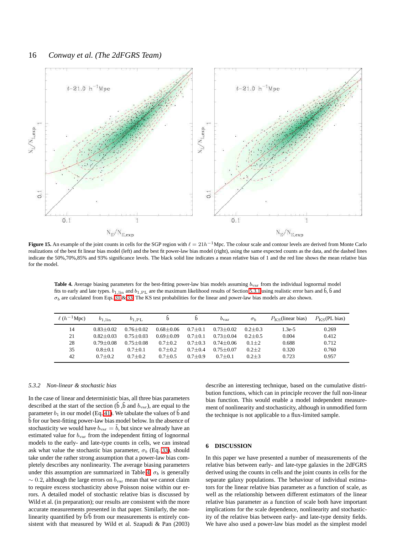

<span id="page-15-1"></span>**Figure 15.** An example of the joint counts in cells for the SGP region with  $\ell = 21h^{-1}$  Mpc. The colour scale and contour levels are derived from Monte Carlo realizations of the best fit linear bias model (left) and the best fit power-law bias model (right), using the same expected counts as the data, and the dashed lines indicate the 50%,70%,85% and 93% significance levels. The black solid line indicates a mean relative bias of 1 and the red line shows the mean relative bias for the model.

<span id="page-15-2"></span>Table 4. Average biasing parameters for the best-fitting power-law bias models assuming  $b_{\text{var}}$  from the individual lognormal model fits to early and late types.  $b_{1,lin}$  and  $b_{1,PL}$  are the maximum likelihood results of Section [5.3.1](#page-13-1) using realistic error bars and  $\hat{b}$ ,  $\hat{b}$  and  $\sigma_b$  are calculated from Eqs. [31](#page-11-6) & [33.](#page-11-7) The KS test probabilities for the linear and power-law bias models are also shown.

| $\ell(h^{-1}Mpc)$ | $b_{1,lin}$   | $b_{1,\text{PL}}$ | b             | b           | $b_{\rm var}$ | $\sigma_b$  | $P_{\rm KS}$ (linear bias) | $P_{\rm KS}$ (PL bias) |
|-------------------|---------------|-------------------|---------------|-------------|---------------|-------------|----------------------------|------------------------|
| 14                | $0.83 + 0.02$ | $0.76 + 0.02$     | $0.68 + 0.06$ | $0.7 + 0.1$ | $0.73 + 0.02$ | $0.2 + 0.3$ | $1.3e-5$                   | 0.269                  |
| 21                | $0.82 + 0.03$ | $0.75 + 0.03$     | $0.69 + 0.09$ | $0.7 + 0.1$ | $0.73 + 0.04$ | $0.2 + 0.5$ | 0.004                      | 0.412                  |
| 28                | $0.79 + 0.08$ | $0.75 + 0.08$     | $0.7 + 0.2$   | $0.7 + 0.3$ | $0.74 + 0.06$ | $0.1 + 2$   | 0.688                      | 0.712                  |
| 35                | $0.8 + 0.1$   | $0.7 + 0.1$       | $0.7 + 0.2$   | $0.7 + 0.4$ | $0.75 + 0.07$ | $0.2 \pm 2$ | 0.320                      | 0.760                  |
| 42                | $0.7 + 0.2$   | $0.7 + 0.2$       | $0.7 + 0.5$   | $0.7 + 0.9$ | $0.7 + 0.1$   | $0.2 + 3$   | 0.723                      | 0.957                  |

## *5.3.2 Non-linear & stochastic bias*

In the case of linear and deterministic bias, all three bias parameters described at the start of the section ( $\hat{b}$ ,  $\tilde{b}$  and  $b_{\text{var}}$ ), are equal to the parameter  $b_1$  in our model (Eq. [41\)](#page-14-2). We tabulate the values of  $\hat{b}$  and b for our best-fitting power-law bias model below. In the absence of stochasticity we would have  $b_{\text{var}} = b$ , but since we already have an estimated value for  $b_{\text{var}}$  from the independent fitting of lognormal models to the early- and late-type counts in cells, we can instead ask what value the stochastic bias parameter,  $\sigma_b$  (Eq. [33\)](#page-11-7), should take under the rather strong assumption that a power-law bias completely describes any nonlinearity. The average biasing parameters under this assumption are summarized in Table [4.](#page-15-2)  $\sigma_b$  is generally  $\sim$  0.2, although the large errors on  $b_{\text{var}}$  mean that we cannot claim to require excess stochasticity above Poisson noise within our errors. A detailed model of stochastic relative bias is discussed by Wild et al. (in preparation); our results are consistent with the more accurate measurements presented in that paper. Similarly, the nonlinearity quantified by  $\tilde{b}/\hat{b}$  from our measurements is entirely consistent with that measured by Wild et al. Szapudi & Pan (2003)

describe an interesting technique, based on the cumulative distribution functions, which can in principle recover the full non-linear bias function. This would enable a model independent measurement of nonlinearity and stochasticity, although in unmodified form the technique is not applicable to a flux-limited sample.

## <span id="page-15-0"></span>**6 DISCUSSION**

In this paper we have presented a number of measurements of the relative bias between early- and late-type galaxies in the 2dFGRS derived using the counts in cells and the joint counts in cells for the separate galaxy populations. The behaviour of individual estimators for the linear relative bias parameter as a function of scale, as well as the relationship between different estimators of the linear relative bias parameter as a function of scale both have important implications for the scale dependence, nonlinearity and stochasticity of the relative bias between early- and late-type density fields. We have also used a power-law bias model as the simplest model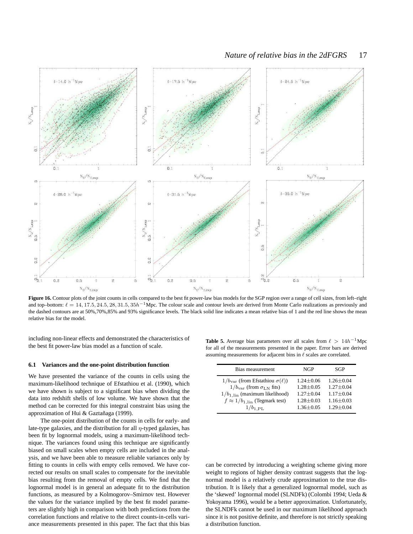

<span id="page-16-0"></span>Figure 16. Contour plots of the joint counts in cells compared to the best fit power-law bias models for the SGP region over a range of cell sizes, from left–right and top–bottom:  $\ell = 14, 17.5, 24.5, 28, 31.5, 35h^{-1}$ Mpc. The colour scale and contour levels are derived from Monte Carlo realizations as previously and the dashed contours are at 50%,70%,85% and 93% significance levels. The black solid line indicates a mean relative bias of 1 and the red line shows the mean relative bias for the model.

including non-linear effects and demonstrated the characteristics of the best fit power-law bias model as a function of scale.

#### **6.1 Variances and the one-point distribution function**

We have presented the variance of the counts in cells using the maximum-likelihood technique of Efstathiou et al. (1990), which we have shown is subject to a significant bias when dividing the data into redshift shells of low volume. We have shown that the method can be corrected for this integral constraint bias using the approximation of Hui & Gaztañaga (1999).

The one-point distribution of the counts in cells for early- and late-type galaxies, and the distribution for all  $\eta$ -typed galaxies, has been fit by lognormal models, using a maximum-likelihood technique. The variances found using this technique are significantly biased on small scales when empty cells are included in the analysis, and we have been able to measure reliable variances only by fitting to counts in cells with empty cells removed. We have corrected our results on small scales to compensate for the inevitable bias resulting from the removal of empty cells. We find that the lognormal model is in general an adequate fit to the distribution functions, as measured by a Kolmogorov–Smirnov test. However the values for the variance implied by the best fit model parameters are slightly high in comparison with both predictions from the correlation functions and relative to the direct counts-in-cells variance measurements presented in this paper. The fact that this bias

<span id="page-16-1"></span>**Table 5.** Average bias parameters over all scales from  $\ell > 14h^{-1}$ Mpc for all of the measurements presented in the paper. Error bars are derived assuming measurements for adjacent bins in  $\ell$  scales are correlated.

| Bias measurement                                     | NGP             | SGP             |
|------------------------------------------------------|-----------------|-----------------|
| $1/b_{\text{var}}$ (from Efstathiou $\sigma(\ell)$ ) | $1.24 \pm 0.06$ | $1.26 \pm 0.04$ |
| $1/b_{\text{var}}$ (from $\sigma_{LN}$ fits)         | $1.28 \pm 0.05$ | $1.27 \pm 0.04$ |
| $1/b_{1,lin}$ (maximum likelihood)                   | $1.27 + 0.04$   | $1.17 \pm 0.04$ |
| $f \approx 1/b_{1,\text{lin}}$ (Tegmark test)        | $1.28 \pm 0.03$ | $1.16 \pm 0.03$ |
| $1/b_{1,\text{PL}}$                                  | $1.36 \pm 0.05$ | $1.29 \pm 0.04$ |

can be corrected by introducing a weighting scheme giving more weight to regions of higher density contrast suggests that the lognormal model is a relatively crude approximation to the true distribution. It is likely that a generalized lognormal model, such as the 'skewed' lognormal model (SLNDFk) (Colombi 1994; Ueda & Yokoyama 1996), would be a better approximation. Unfortunately, the SLNDFk cannot be used in our maximum likelihood approach since it is not positive definite, and therefore is not strictly speaking a distribution function.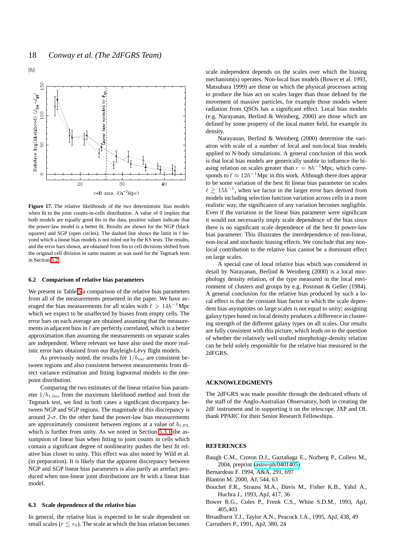

<span id="page-17-3"></span>**Figure 17.** The relative likelihoods of the two deterministic bias models when fit to the joint counts-in-cells distribution. A value of 0 implies that both models are equally good fits to the data, positive values indicate that the power-law model is a better fit. Results are shown for the NGP (black squares) and SGP (open circles). The dashed line shows the limit in  $\ell$  beyond which a linear bias models is not ruled out by the KS tests. The results, and the error bars shown, are obtained from fits to cell divisions shifted from the original cell division in same manner as was used for the Tegmark tests in Section [5.2.](#page-11-2)

## <span id="page-17-2"></span>**6.2 Comparison of relative bias parameters**

We present in Table [5](#page-16-1) a comparison of the relative bias parameters from all of the measurements presented in the paper. We have averaged the bias measurements for all scales with  $\ell > 14h^{-1}$ Mpc which we expect to be unaffected by biases from empty cells. The error bars on each average are obtained assuming that the measurements in adjacent bins in  $\ell$  are perfectly correlated, which is a better approximation than assuming the measurements on separate scales are independent. Where relevant we have also used the more realistic error bars obtained from our Rayleigh-Lévy flight models.

As previously noted, the results for  $1/b<sub>var</sub>$  are consistent between regions and also consistent between measurements from direct variance estimation and fitting lognormal models to the onepoint distribution.

Comparing the two estimates of the linear relative bias parameter  $1/b_{1,\text{lin}}$ , from the maximum likelihood method and from the Tegmark test, we find in both cases a significant discrepancy between NGP and SGP regions. The magnitude of this discrepancy is around  $2-\sigma$ . On the other hand the power-law bias measurements are approximately consistent between regions at a value of  $b_{1,\text{PL}}$ which is further from unity. As we noted in Section [5.3.1](#page-13-1) the assumption of linear bias when fitting to joint counts in cells which contain a significant degree of nonlinearity pushes the best fit relative bias closer to unity. This effect was also noted by Wild et al. (in preparation). It is likely that the apparent discrepancy between NGP and SGP linear bias parameters is also partly an artefact produced when non-linear joint distributions are fit with a linear bias model.

#### **6.3 Scale dependence of the relative bias**

In general, the relative bias is expected to be scale dependent on small scales ( $r \lesssim r_0$ ). The scale at which the bias relation becomes

scale independent depends on the scales over which the biasing mechanism(s) operates. Non-local bias models (Bower et al. 1993, Matsubara 1999) are those on which the physical processes acting to produce the bias act on scales larger than those defined by the movement of massive particles, for example those models where radiation from QSOs has a significant effect. Local bias models (e.g. Narayanan, Berlind & Weinberg, 2000) are those which are defined by some property of the local matter field, for example its density.

Narayanan, Berlind & Weinberg (2000) determine the variation with scale of a number of local and non-local bias models applied to N-body simulations. A general conclusion of this work is that local bias models are generically unable to influence the biasing relation on scales greater than  $r = 8h^{-1}$ Mpc, which corresponds to  $\ell \approx 12h^{-1}$  Mpc in this work. Although there does appear to be some variation of the best fit linear bias parameter on scales  $\ell \gtrsim 15h^{-1}$ , when we factor in the larger error bars derived from models including selection function variation across cells in a more realistic way, the significance of any variation becomes negligible. Even if the variation in the linear bias parameter were significant it would not necessarily imply scale dependence of the bias since there is no significant scale dependence of the best fit power-law bias parameter. This illustrates the interdependence of non-linear, non-local and stochastic biasing effects. We conclude that any nonlocal contribution to the relative bias cannot be a dominant effect on large scales.

A special case of local relative bias which was considered in detail by Narayanan, Berlind & Weinberg (2000) is a local morphology density relation, of the type measured in the local environment of clusters and groups by e.g. Postman & Geller (1984). A general conclusion for the relative bias produced by such a local effect is that the constant bias factor to which the scale dependent bias asymptotes on large scales is not equal to unity; assigning galaxy types based on local density produces a difference in clustering strength of the different galaxy types on all scales. Our results are fully consistent with this picture, which leads on to the question of whether the relatively well studied morphology-density relation can be held solely responsible for the relative bias measured in the 2dFGRS.

## **ACKNOWLEDGMENTS**

The 2dFGRS was made possible through the dedicated efforts of the staff of the Anglo-Australian Observatory, both in creating the 2dF instrument and in supporting it on the telescope. JAP and OL thank PPARC for their Senior Research Fellowships.

## <span id="page-17-0"></span>**REFERENCES**

Baugh C.M., Croton D.J., Gaztañaga E., Norberg P., Colless M., 2004, preprint [\(astro-ph/0401405\)](http://arxiv.org/abs/astro-ph/0401405)

Bernardeau F. 1994, A&A, 291, 697

- <span id="page-17-1"></span>Blanton M. 2000, AJ, 544, 63
- Bouchet F.R., Strauss M.A., Davis M., Fisher K.B., Yahil A., Huchra J., 1993, ApJ, 417, 36
- Bower R.G., Coles P., Frenk C.S., White S.D.M., 1993, ApJ, 405,403
- Broadhurst T.J., Taylor A.N., Peacock J.A., 1995, ApJ, 438, 49
- Carruthers P., 1991, ApJ, 380, 24